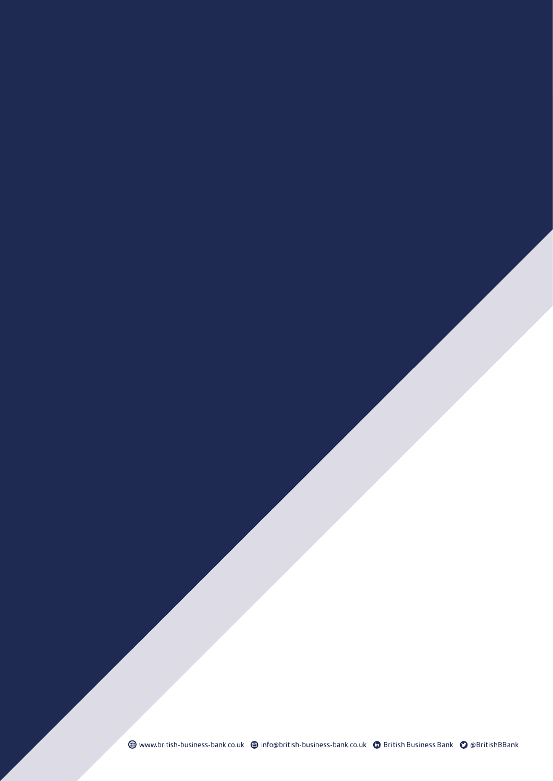www.british-business-bank.co.uk @ info@british-business-bank.co.uk @ British Business Bank @ @BritishBBank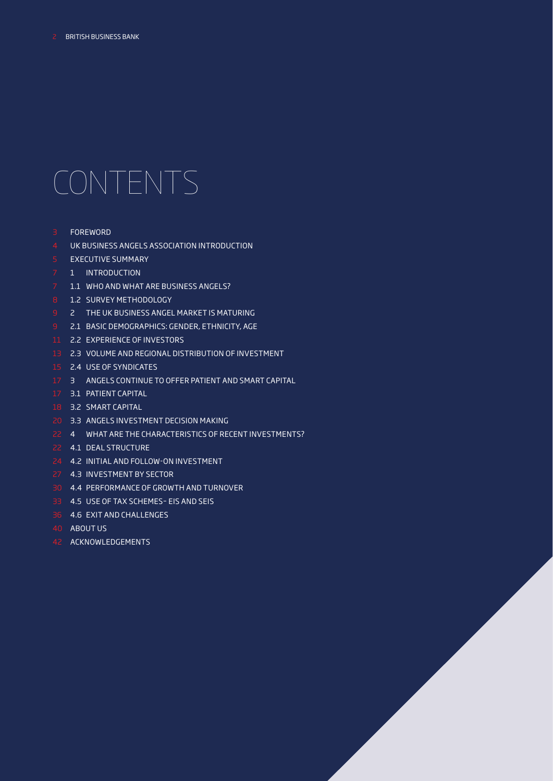# CONTENTS

- 3 FOREWORD
- 4 UK BUSINESS ANGELS ASSOCIATION INTRODUCTION
- 5 EXECUTIVE SUMMARY
- 7 1 INTRODUCTION
- 7 1.1 WHO AND WHAT ARE BUSINESS ANGELS?
- 8 1.2 SURVEY METHODOLOGY
- 9 2 THE UK BUSINESS ANGEL MARKET IS MATURING
- 9 2.1 BASIC DEMOGRAPHICS: GENDER, ETHNICITY, AGE
- 11 2.2 EXPERIENCE OF INVESTORS
- 13 2.3 VOLUME AND REGIONAL DISTRIBUTION OF INVESTMENT
- 15 2.4 USE OF SYNDICATES
- 17 3 ANGELS CONTINUE TO OFFER PATIENT AND SMART CAPITAL
- 17 3.1 PATIENT CAPITAL
- 18 3.2 SMART CAPITAL
- 20 3.3 ANGELS INVESTMENT DECISION MAKING
- 22 4 WHAT ARE THE CHARACTERISTICS OF RECENT INVESTMENTS?
- 22 4.1 DEAL STRUCTURE
- 24 4.2 INITIAL AND FOLLOW-ON INVESTMENT
- 27 4.3 INVESTMENT BY SECTOR
- 30 4.4 PERFORMANCE OF GROWTH AND TURNOVER
- 33 4.5 USE OF TAX SCHEMES– EIS AND SEIS
- 36 4.6 EXIT AND CHALLENGES
- 40 ABOUT US
- 42 ACKNOWLEDGEMENTS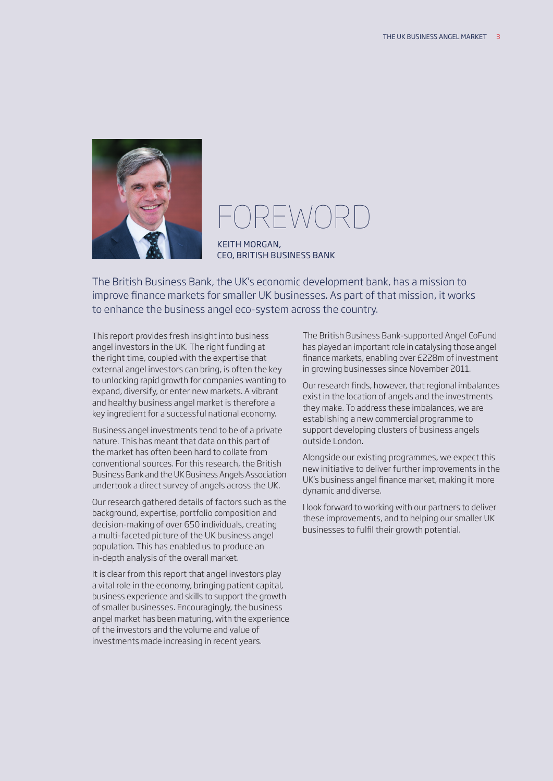

# $-\setminus \wedge$

KEITH MORGAN, CEO, BRITISH BUSINESS BANK

The British Business Bank, the UK's economic development bank, has a mission to improve fnance markets for smaller UK businesses. As part of that mission, it works to enhance the business angel eco-system across the country.

This report provides fresh insight into business angel investors in the UK. The right funding at the right time, coupled with the expertise that external angel investors can bring, is often the key to unlocking rapid growth for companies wanting to expand, diversify, or enter new markets. A vibrant and healthy business angel market is therefore a key ingredient for a successful national economy.

Business angel investments tend to be of a private nature. This has meant that data on this part of the market has often been hard to collate from conventional sources. For this research, the British Business Bank and the UK Business Angels Association undertook a direct survey of angels across the UK.

Our research gathered details of factors such as the background, expertise, portfolio composition and decision-making of over 650 individuals, creating a multi-faceted picture of the UK business angel population. This has enabled us to produce an in-depth analysis of the overall market.

It is clear from this report that angel investors play a vital role in the economy, bringing patient capital, business experience and skills to support the growth of smaller businesses. Encouragingly, the business angel market has been maturing, with the experience of the investors and the volume and value of investments made increasing in recent years.

The British Business Bank-supported Angel CoFund has played an important role in catalysing those angel fnance markets, enabling over £228m of investment in growing businesses since November 2011.

Our research finds, however, that regional imbalances exist in the location of angels and the investments they make. To address these imbalances, we are establishing a new commercial programme to support developing clusters of business angels outside London.

Alongside our existing programmes, we expect this new initiative to deliver further improvements in the UK's business angel fnance market, making it more dynamic and diverse.

I look forward to working with our partners to deliver these improvements, and to helping our smaller UK businesses to fulfl their growth potential.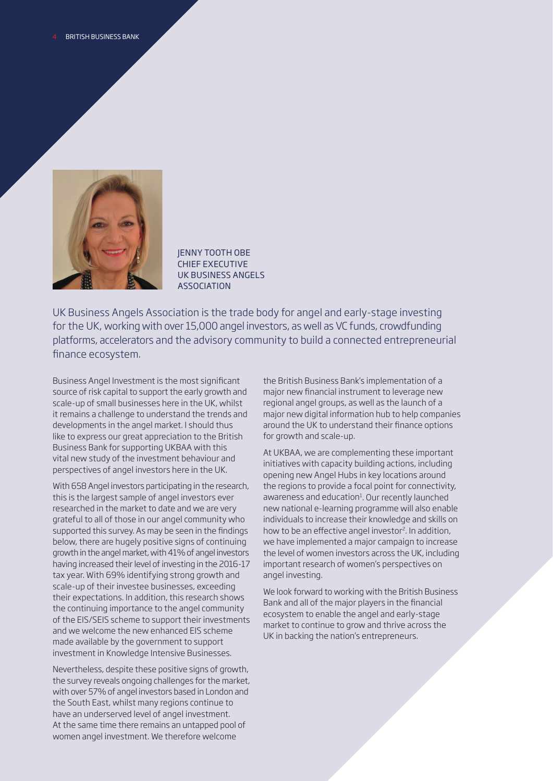

JENNY TOOTH OBE CHIEF EXECUTIVE UK BUSINESS ANGELS ASSOCIATION

 for the UK, working with over 15,000 angel investors, as well as VC funds, crowdfunding UK Business Angels Association is the trade body for angel and early-stage investing platforms, accelerators and the advisory community to build a connected entrepreneurial fnance ecosystem.

perspectives of angel investors here in the UK. Business Angel Investment is the most signifcant source of risk capital to support the early growth and scale-up of small businesses here in the UK, whilst it remains a challenge to understand the trends and developments in the angel market. I should thus like to express our great appreciation to the British Business Bank for supporting UKBAA with this vital new study of the investment behaviour and

With 658 Angel investors participating in the research, this is the largest sample of angel investors ever researched in the market to date and we are very grateful to all of those in our angel community who supported this survey. As may be seen in the findings below, there are hugely positive signs of continuing growth in the angel market, with 41% of angel investors having increased their level of investing in the 2016-17 tax year. With 69% identifying strong growth and scale-up of their investee businesses, exceeding their expectations. In addition, this research shows the continuing importance to the angel community of the EIS/SEIS scheme to support their investments and we welcome the new enhanced EIS scheme made available by the government to support investment in Knowledge Intensive Businesses.

 At the same time there remains an untapped pool of Nevertheless, despite these positive signs of growth, the survey reveals ongoing challenges for the market, with over 57% of angel investors based in London and the South East, whilst many regions continue to have an underserved level of angel investment. women angel investment. We therefore welcome

the British Business Bank's implementation of a major new fnancial instrument to leverage new regional angel groups, as well as the launch of a major new digital information hub to help companies around the UK to understand their fnance options for growth and scale-up.

At UKBAA, we are complementing these important initiatives with capacity building actions, including opening new Angel Hubs in key locations around the regions to provide a focal point for connectivity, awareness and education<sup>1</sup>. Our recently launched new national e-learning programme will also enable individuals to increase their knowledge and skills on how to be an effective angel investor<sup>2</sup>. In addition, we have implemented a major campaign to increase the level of women investors across the UK, including important research of women's perspectives on angel investing.

We look forward to working with the British Business Bank and all of the major players in the fnancial ecosystem to enable the angel and early-stage market to continue to grow and thrive across the UK in backing the nation's entrepreneurs.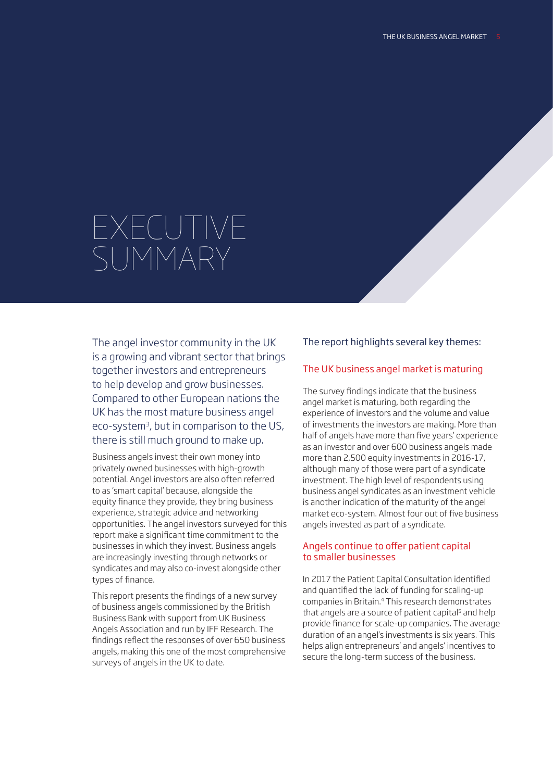# EXECUTIVE SUMMARY

The angel investor community in the UK is a growing and vibrant sector that brings together investors and entrepreneurs to help develop and grow businesses. Compared to other European nations the UK has the most mature business angel eco-system<sup>3</sup>, but in comparison to the US, there is still much ground to make up.

Business angels invest their own money into privately owned businesses with high-growth potential. Angel investors are also often referred to as 'smart capital' because, alongside the equity fnance they provide, they bring business experience, strategic advice and networking opportunities. The angel investors surveyed for this report make a signifcant time commitment to the businesses in which they invest. Business angels are increasingly investing through networks or syndicates and may also co-invest alongside other types of fnance.

This report presents the fndings of a new survey of business angels commissioned by the British Business Bank with support from UK Business Angels Association and run by IFF Research. The fndings refect the responses of over 650 business angels, making this one of the most comprehensive surveys of angels in the UK to date.

### The report highlights several key themes:

### The UK business angel market is maturing

The survey findings indicate that the business angel market is maturing, both regarding the experience of investors and the volume and value of investments the investors are making. More than half of angels have more than five years' experience as an investor and over 600 business angels made more than 2,500 equity investments in 2016-17, although many of those were part of a syndicate investment. The high level of respondents using business angel syndicates as an investment vehicle is another indication of the maturity of the angel market eco-system. Almost four out of fve business angels invested as part of a syndicate.

### Angels continue to offer patient capital to smaller businesses

In 2017 the Patient Capital Consultation identifed and quantifed the lack of funding for scaling-up companies in Britain.4 This research demonstrates that angels are a source of patient capital<sup>5</sup> and help provide fnance for scale-up companies. The average duration of an angel's investments is six years. This helps align entrepreneurs' and angels' incentives to secure the long-term success of the business.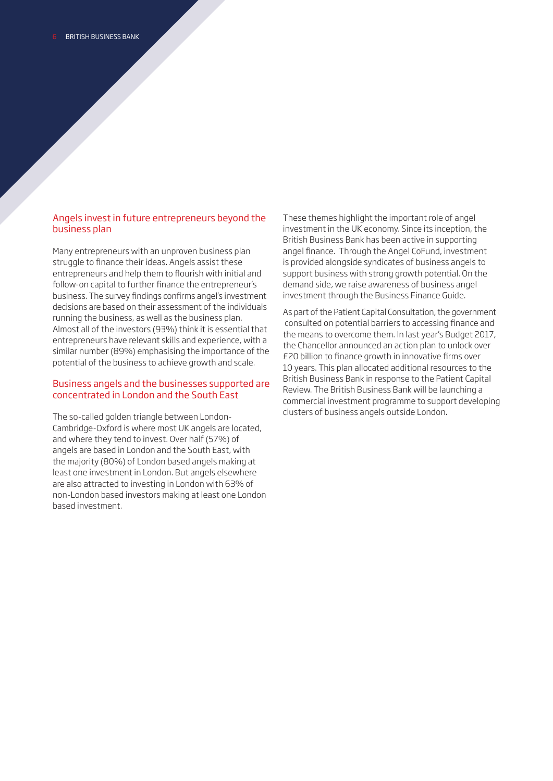### Angels invest in future entrepreneurs beyond the business plan

Many entrepreneurs with an unproven business plan struggle to fnance their ideas. Angels assist these entrepreneurs and help them to fourish with initial and follow-on capital to further fnance the entrepreneur's business. The survey fndings confrms angel's investment decisions are based on their assessment of the individuals running the business, as well as the business plan. Almost all of the investors (93%) think it is essential that entrepreneurs have relevant skills and experience, with a similar number (89%) emphasising the importance of the potential of the business to achieve growth and scale.

### Business angels and the businesses supported are concentrated in London and the South East

The so-called golden triangle between London-Cambridge-Oxford is where most UK angels are located, and where they tend to invest. Over half (57%) of angels are based in London and the South East, with the majority (80%) of London based angels making at least one investment in London. But angels elsewhere are also attracted to investing in London with 63% of non-London based investors making at least one London based investment.

investment through the Business Finance Guide. These themes highlight the important role of angel investment in the UK economy. Since its inception, the British Business Bank has been active in supporting angel fnance. Through the Angel CoFund, investment is provided alongside syndicates of business angels to support business with strong growth potential. On the demand side, we raise awareness of business angel

the means to overcome them. In last year's Budget 2017, As part of the Patient Capital Consultation, the government consulted on potential barriers to accessing fnance and the Chancellor announced an action plan to unlock over £20 billion to fnance growth in innovative frms over 10 years. This plan allocated additional resources to the British Business Bank in response to the Patient Capital Review. The British Business Bank will be launching a commercial investment programme to support developing clusters of business angels outside London.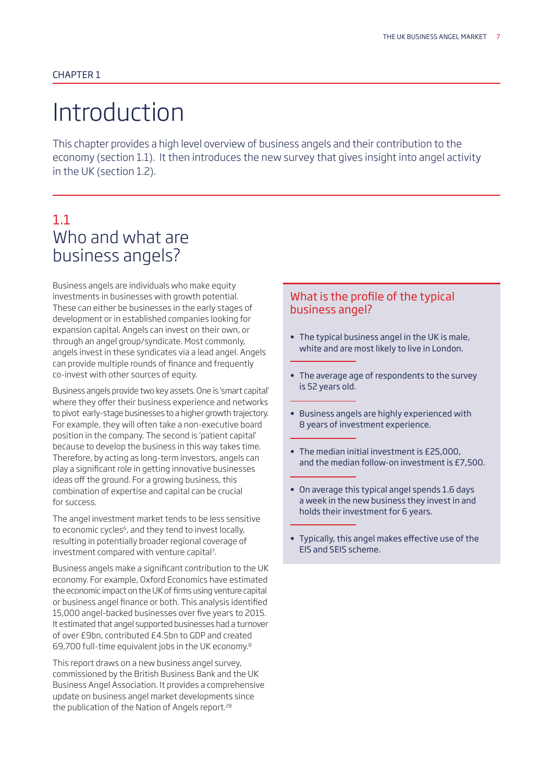# Introduction

This chapter provides a high level overview of business angels and their contribution to the economy (section 1.1). It then introduces the new survey that gives insight into angel activity in the UK (section 1.2).

## 1.1 Who and what are business angels?

Business angels are individuals who make equity investments in businesses with growth potential. These can either be businesses in the early stages of development or in established companies looking for expansion capital. Angels can invest on their own, or through an angel group/syndicate. Most commonly, angels invest in these syndicates via a lead angel. Angels can provide multiple rounds of fnance and frequently co-invest with other sources of equity.

Business angels provide two key assets. One is 'smart capital' where they offer their business experience and networks to pivot early-stage businesses to a higher growth trajectory. For example, they will often take a non-executive board position in the company. The second is 'patient capital' because to develop the business in this way takes time. Therefore, by acting as long-term investors, angels can play a signifcant role in getting innovative businesses ideas off the ground. For a growing business, this combination of expertise and capital can be crucial for success.

The angel investment market tends to be less sensitive to economic cycles<sup>6</sup>, and they tend to invest locally, resulting in potentially broader regional coverage of investment compared with venture capital<sup>7</sup>.

Business angels make a signifcant contribution to the UK economy. For example, Oxford Economics have estimated the economic impact on the UK of frms using venture capital or business angel fnance or both. This analysis identifed 15,000 angel-backed businesses over five years to 2015. It estimated that angel supported businesses had a turnover of over £9bn, contributed £4.5bn to GDP and created 69,700 full-time equivalent jobs in the UK economy.8

This report draws on a new business angel survey, commissioned by the British Business Bank and the UK Business Angel Association. It provides a comprehensive update on business angel market developments since the publication of the Nation of Angels report.<sup>28</sup>

### What is the profile of the typical business angel?

- The typical business angel in the UK is male, white and are most likely to live in London.
- The average age of respondents to the survey is 52 years old.
- Business angels are highly experienced with 8 years of investment experience.
- The median initial investment is £25,000, and the median follow-on investment is £7,500.
- On average this typical angel spends 1.6 days a week in the new business they invest in and holds their investment for 6 years.
- Typically, this angel makes efective use of the EIS and SEIS scheme.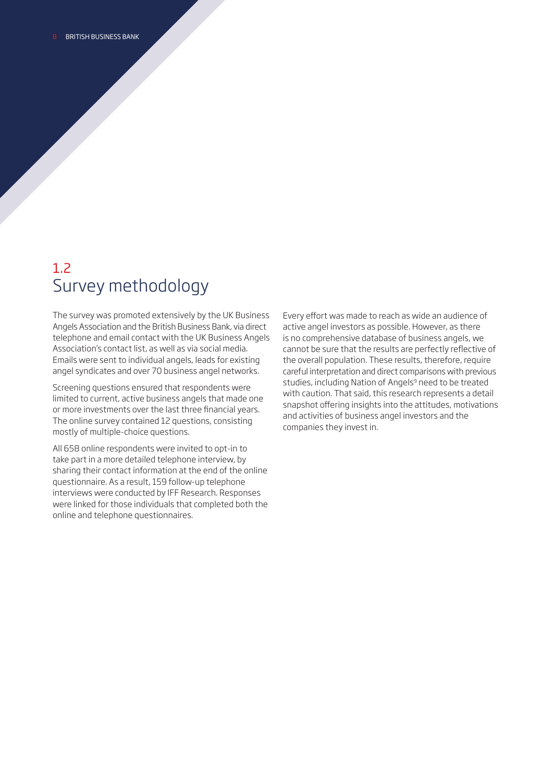### 1.2 Survey methodology

The survey was promoted extensively by the UK Business Angels Association and the British Business Bank, via direct telephone and email contact with the UK Business Angels Association's contact list, as well as via social media. Emails were sent to individual angels, leads for existing angel syndicates and over 70 business angel networks.

Screening questions ensured that respondents were limited to current, active business angels that made one or more investments over the last three fnancial years. The online survey contained 12 questions, consisting mostly of multiple-choice questions.

All 658 online respondents were invited to opt-in to take part in a more detailed telephone interview, by sharing their contact information at the end of the online questionnaire. As a result, 159 follow-up telephone interviews were conducted by IFF Research. Responses were linked for those individuals that completed both the online and telephone questionnaires.

Every effort was made to reach as wide an audience of active angel investors as possible. However, as there is no comprehensive database of business angels, we cannot be sure that the results are perfectly refective of the overall population. These results, therefore, require careful interpretation and direct comparisons with previous studies, including Nation of Angels<sup>9</sup> need to be treated with caution. That said, this research represents a detail snapshot offering insights into the attitudes, motivations and activities of business angel investors and the companies they invest in.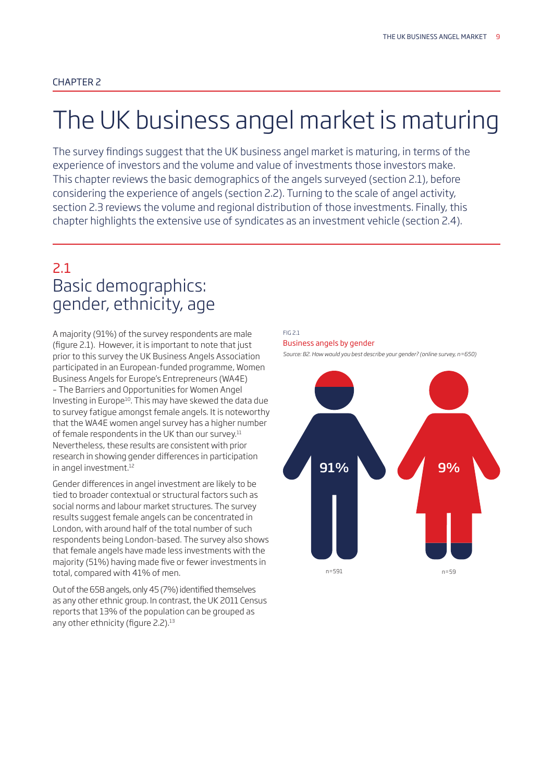# The UK business angel market is maturing

experience of investors and the volume and value of investments those investors make. The survey fndings suggest that the UK business angel market is maturing, in terms of the This chapter reviews the basic demographics of the angels surveyed (section 2.1), before considering the experience of angels (section 2.2). Turning to the scale of angel activity, section 2.3 reviews the volume and regional distribution of those investments. Finally, this chapter highlights the extensive use of syndicates as an investment vehicle (section 2.4).

### 2.1 Basic demographics: gender, ethnicity, age

A majority (91%) of the survey respondents are male (figure 2.1). However, it is important to note that just prior to this survey the UK Business Angels Association participated in an European-funded programme, Women Business Angels for Europe's Entrepreneurs (WA4E) – The Barriers and Opportunities for Women Angel Investing in Europe<sup>10</sup>. This may have skewed the data due to survey fatigue amongst female angels. It is noteworthy that the WA4E women angel survey has a higher number of female respondents in the UK than our survey. $11$ Nevertheless, these results are consistent with prior research in showing gender diferences in participation in angel investment.<sup>12</sup>

Gender diferences in angel investment are likely to be tied to broader contextual or structural factors such as social norms and labour market structures. The survey results suggest female angels can be concentrated in London, with around half of the total number of such respondents being London-based. The survey also shows that female angels have made less investments with the majority (51%) having made fve or fewer investments in total, compared with 41% of men.

any other ethnicity (figure 2.2).<sup>13</sup> Out of the 658 angels, only 45 (7%) identifed themselves as any other ethnic group. In contrast, the UK 2011 Census reports that 13% of the population can be grouped as

### FIG 2.1 Business angels by gender

*Source: B2. How would you best describe your gender? (online survey, n=650)* 

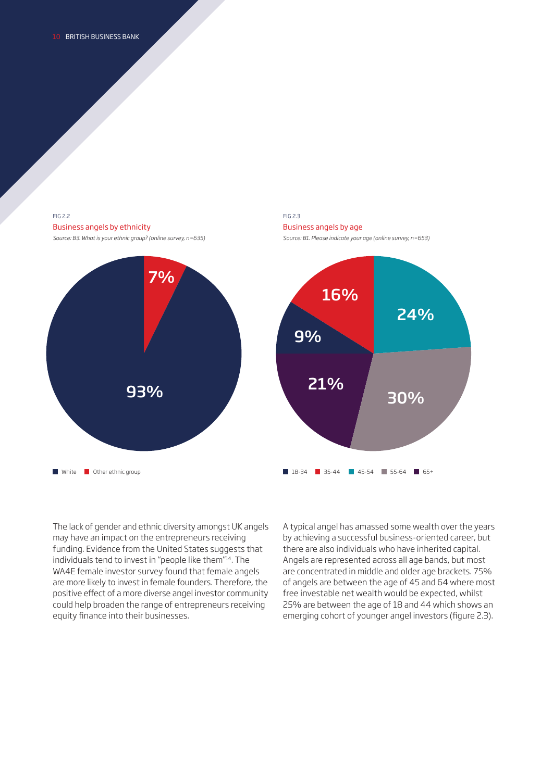### FIG 2.2 Business angels by ethnicity

*Source: B3. What is your ethnic group? (online survey, n=635)* 



### FIG 2.3 Business angels by age *Source: B1. Please indicate your age (online survey, n=653)*



The lack of gender and ethnic diversity amongst UK angels may have an impact on the entrepreneurs receiving funding. Evidence from the United States suggests that individuals tend to invest in "people like them"14. The WA4E female investor survey found that female angels are more likely to invest in female founders. Therefore, the positive efect of a more diverse angel investor community could help broaden the range of entrepreneurs receiving equity fnance into their businesses.

A typical angel has amassed some wealth over the years by achieving a successful business-oriented career, but there are also individuals who have inherited capital. Angels are represented across all age bands, but most are concentrated in middle and older age brackets. 75% of angels are between the age of 45 and 64 where most free investable net wealth would be expected, whilst 25% are between the age of 18 and 44 which shows an emerging cohort of younger angel investors (figure 2.3).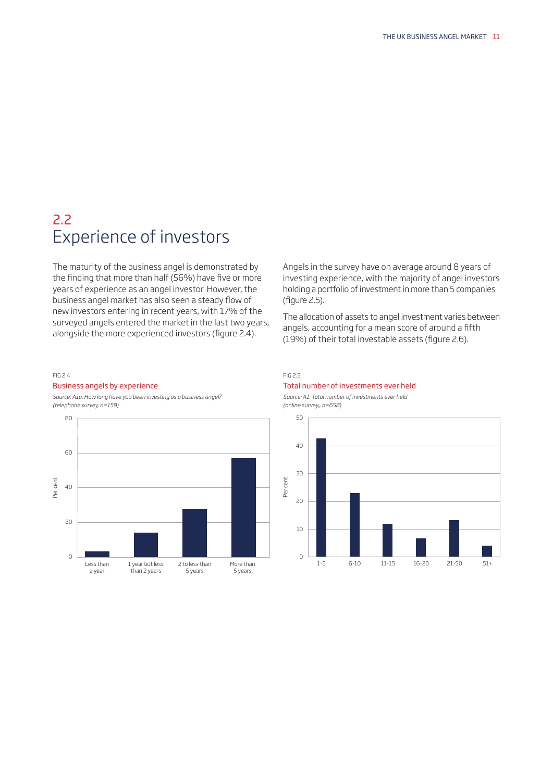### 2.2 Experience of investors

The maturity of the business angel is demonstrated by the finding that more than half (56%) have five or more years of experience as an angel investor. However, the business angel market has also seen a steady fow of new investors entering in recent years, with 17% of the surveyed angels entered the market in the last two years, alongside the more experienced investors (figure 2.4).

#### FIG 2.4

### Business angels by experience

*Source: A1a. How long have you been investing as a business angel? (telephone survey, n=159)* 



Angels in the survey have on average around 8 years of investing experience, with the majority of angel investors holding a portfolio of investment in more than 5 companies  $(fiaure 2.5)$ .

The allocation of assets to angel investment varies between angels, accounting for a mean score of around a ffth (19%) of their total investable assets (figure 2.6).

### FIG 2.5

### Total number of investments ever held

*Source: A1. Total number of investments ever held (online survey,, n=658)* 

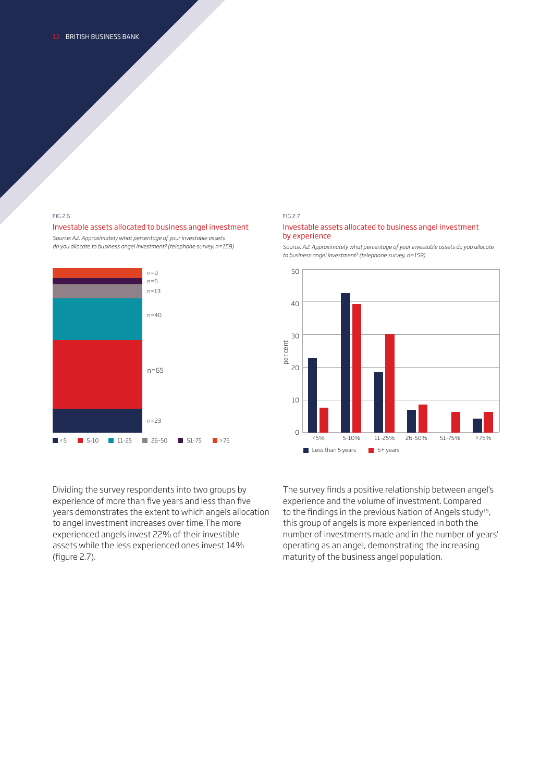### FIG 2.6

### Investable assets allocated to business angel investment

*Source: A2. Approximately what percentage of your investable assets do you allocate to business angel investment? (telephone survey, n=159)* 



Dividing the survey respondents into two groups by experience of more than five years and less than five years demonstrates the extent to which angels allocation to angel investment increases over time.The more experienced angels invest 22% of their investible assets while the less experienced ones invest 14% (figure 2.7).

### FIG 2.7

### Investable assets allocated to business angel investment by experience

*Source: A2. Approximately what percentage of your investable assets do you allocate to business angel investment? (telephone survey, n=159)* 



The survey fnds a positive relationship between angel's experience and the volume of investment. Compared to the findings in the previous Nation of Angels study<sup>15</sup>, this group of angels is more experienced in both the number of investments made and in the number of years' operating as an angel, demonstrating the increasing maturity of the business angel population.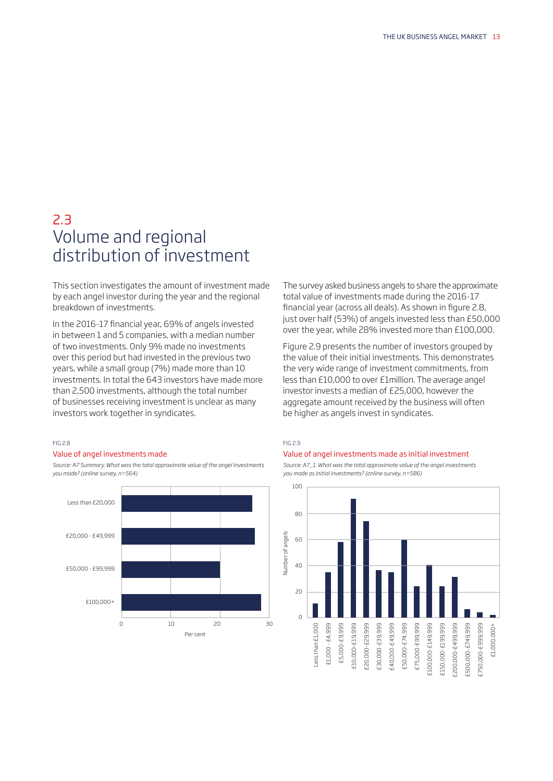### 2.3 Volume and regional distribution of investment

This section investigates the amount of investment made by each angel investor during the year and the regional breakdown of investments.

In the 2016-17 fnancial year, 69% of angels invested in between 1 and 5 companies, with a median number of two investments. Only 9% made no investments over this period but had invested in the previous two years, while a small group (7%) made more than 10 investments. In total the 643 investors have made more than 2,500 investments, although the total number of businesses receiving investment is unclear as many investors work together in syndicates.

### FIG 2.8

### Value of angel investments made

*Source: A7 Summary. What was the total approximate value of the angel investments you made? (online survey, n=564)* 



The survey asked business angels to share the approximate total value of investments made during the 2016-17 financial year (across all deals). As shown in figure 2.8, just over half (53%) of angels invested less than £50,000 over the year, while 28% invested more than £100,000.

be higher as angels invest in syndicates.<br><sub>FIG 2.9</sub> Figure 2.9 presents the number of investors grouped by the value of their initial investments. This demonstrates the very wide range of investment commitments, from less than £10,000 to over £1million. The average angel investor invests a median of £25,000, however the aggregate amount received by the business will often

### Value of angel investments made as initial investment



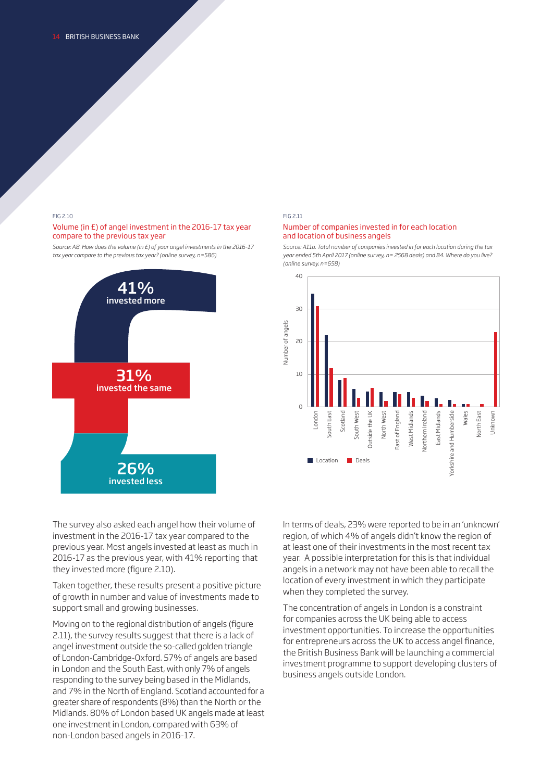FIG 2.10 FIG 2.11

### Volume (in £) of angel investment in the 2016-17 tax year Number of companies invested in for each location compare to the previous tax year and location of business angels



*Source: A8. How does the volume (in £) of your angel investments in the 2016-17 Source: A11a. Total number of companies invested in for each location during the tax tax year compare to the previous tax year? (online survey, n=586) year ended 5th April 2017 (online survey, n= 2568 deals) and B4. Where do you live? (online survey, n=658)* 



investment in the 2016-17 tax year compared to the previous year. Most angels invested at least as much in 2016-17 as the previous year, with 41% reporting that they invested more (figure 2.10).

Taken together, these results present a positive picture of growth in number and value of investments made to support small and growing businesses.

 2.11), the survey results suggest that there is a lack of in London and the South East, with only 7% of angels responding to the survey being based in the Midlands, and 7% in the North of England. Scotland accounted for a Midlands. 80% of London based UK angels made at least one investment in London, compared with 63% of Moving on to the regional distribution of angels (figure angel investment outside the so-called golden triangle of London-Cambridge-Oxford. 57% of angels are based greater share of respondents (8%) than the North or the non-London based angels in 2016-17.

The survey also asked each angel how their volume of Interms of deals, 23% were reported to be in an 'unknown' region, of which 4% of angels didn't know the region of at least one of their investments in the most recent tax year. A possible interpretation for this is that individual angels in a network may not have been able to recall the location of every investment in which they participate when they completed the survey.

> The concentration of angels in London is a constraint for companies across the UK being able to access investment opportunities. To increase the opportunities for entrepreneurs across the UK to access angel fnance, the British Business Bank will be launching a commercial investment programme to support developing clusters of business angels outside London.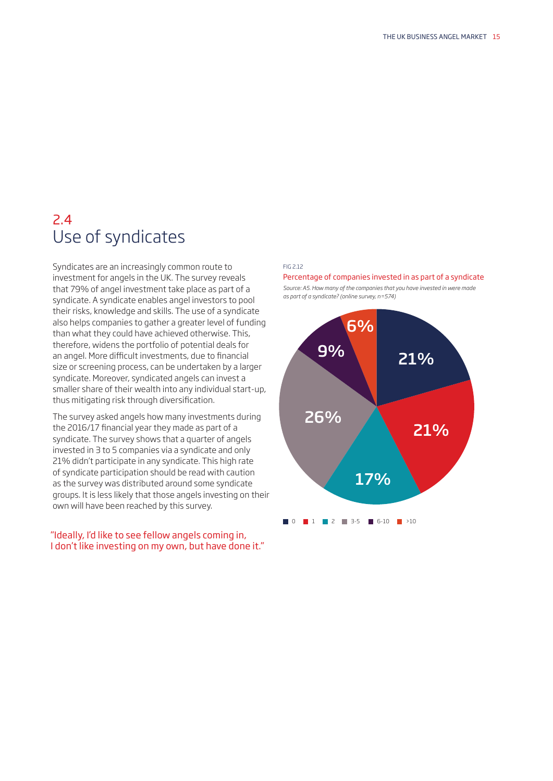## 2.4 Use of syndicates

Syndicates are an increasingly common route to investment for angels in the UK. The survey reveals that 79% of angel investment take place as part of a syndicate. A syndicate enables angel investors to pool their risks, knowledge and skills. The use of a syndicate also helps companies to gather a greater level of funding than what they could have achieved otherwise. This, therefore, widens the portfolio of potential deals for an angel. More difficult investments, due to financial size or screening process, can be undertaken by a larger syndicate. Moreover, syndicated angels can invest a smaller share of their wealth into any individual start-up, thus mitigating risk through diversifcation.

The survey asked angels how many investments during the 2016/17 fnancial year they made as part of a syndicate. The survey shows that a quarter of angels invested in 3 to 5 companies via a syndicate and only 21% didn't participate in any syndicate. This high rate of syndicate participation should be read with caution as the survey was distributed around some syndicate groups. It is less likely that those angels investing on their own will have been reached by this survey.

### "Ideally, I'd like to see fellow angels coming in, I don't like investing on my own, but have done it."

### FIG 2.12

Percentage of companies invested in as part of a syndicate

*Source: A5. How many of the companies that you have invested in were made as part of a syndicate? (online survey, n=574)* 

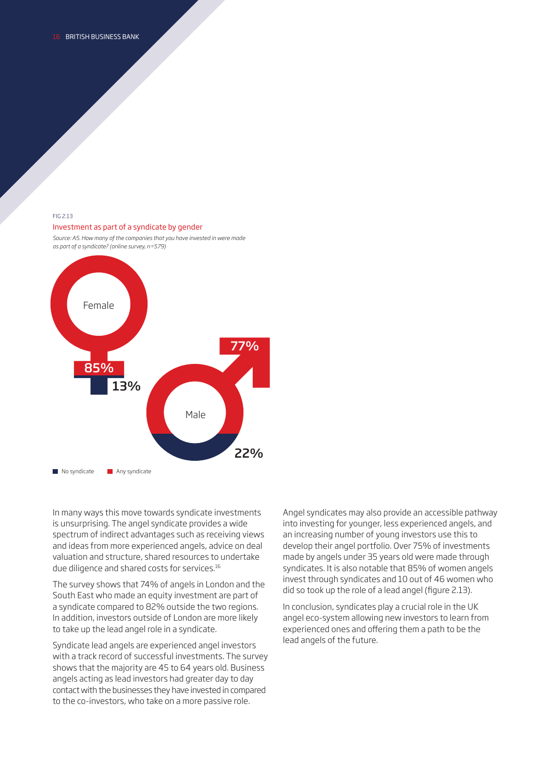### FIG 2.13

### Investment as part of a syndicate by gender

*Source: A5. How many of the companies that you have invested in were made as part of a syndicate? (online survey, n=579)* 



 due diligence and shared costs for [services.16](https://services.16)  In many ways this move towards syndicate investments is unsurprising. The angel syndicate provides a wide spectrum of indirect advantages such as receiving views and ideas from more experienced angels, advice on deal valuation and structure, shared resources to undertake

The survey shows that 74% of angels in London and the South East who made an equity investment are part of a syndicate compared to 82% outside the two regions. In addition, investors outside of London are more likely to take up the lead angel role in a syndicate.

Syndicate lead angels are experienced angel investors with a track record of successful investments. The survey shows that the majority are 45 to 64 years old. Business angels acting as lead investors had greater day to day contact with the businesses they have invested in compared to the co-investors, who take on a more passive role.

Angel syndicates may also provide an accessible pathway into investing for younger, less experienced angels, and an increasing number of young investors use this to develop their angel portfolio. Over 75% of investments made by angels under 35 years old were made through syndicates. It is also notable that 85% of women angels invest through syndicates and 10 out of 46 women who did so took up the role of a lead angel (figure 2.13).

In conclusion, syndicates play a crucial role in the UK angel eco-system allowing new investors to learn from experienced ones and offering them a path to be the lead angels of the future.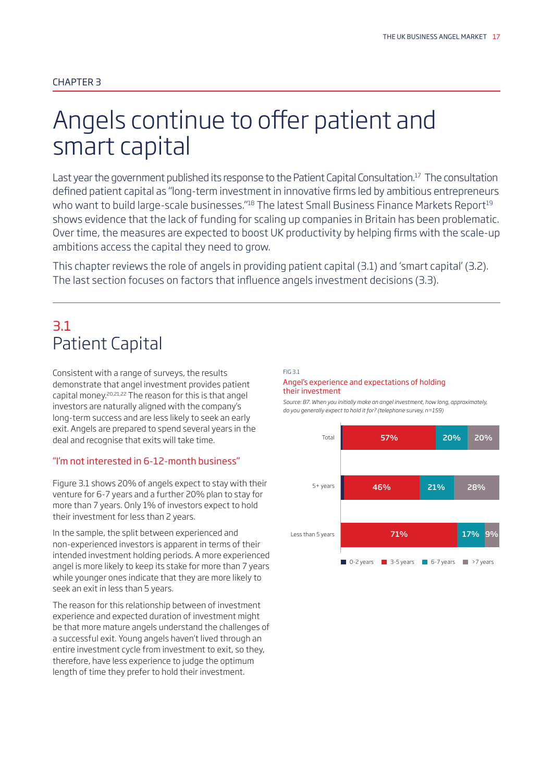# Angels continue to offer patient and smart capital

Last year the government published its response to the Patient Capital Consultation.<sup>17</sup> The consultation defned patient capital as "long-term investment in innovative frms led by ambitious entrepreneurs who want to build large-scale businesses."<sup>18</sup> The latest Small Business Finance Markets Report<sup>19</sup> shows evidence that the lack of funding for scaling up companies in Britain has been problematic. Over time, the measures are expected to boost UK productivity by helping frms with the scale-up ambitions access the capital they need to grow.

 The last section focuses on factors that infuence angels investment decisions (3.3). This chapter reviews the role of angels in providing patient capital (3.1) and 'smart capital' (3.2).

### 3.1 Patient Capital

Consistent with a range of surveys, the results demonstrate that angel investment provides patient capital money.20,21,22 The reason for this is that angel investors are naturally aligned with the company's long-term success and are less likely to seek an early exit. Angels are prepared to spend several years in the deal and recognise that exits will take time.

### "I'm not interested in 6-12-month business"

Figure 3.1 shows 20% of angels expect to stay with their venture for 6-7 years and a further 20% plan to stay for more than 7 years. Only 1% of investors expect to hold their investment for less than 2 years.

In the sample, the split between experienced and non-experienced investors is apparent in terms of their intended investment holding periods. A more experienced angel is more likely to keep its stake for more than 7 years while younger ones indicate that they are more likely to seek an exit in less than 5 years.

The reason for this relationship between of investment experience and expected duration of investment might be that more mature angels understand the challenges of a successful exit. Young angels haven't lived through an entire investment cycle from investment to exit, so they, therefore, have less experience to judge the optimum length of time they prefer to hold their investment.

### FIG 3.1

### Angel's experience and expectations of holding their investment

*Source: B7. When you initially make an angel investment, how long, approximately, do you generally expect to hold it for? (telephone survey, n=159)* 

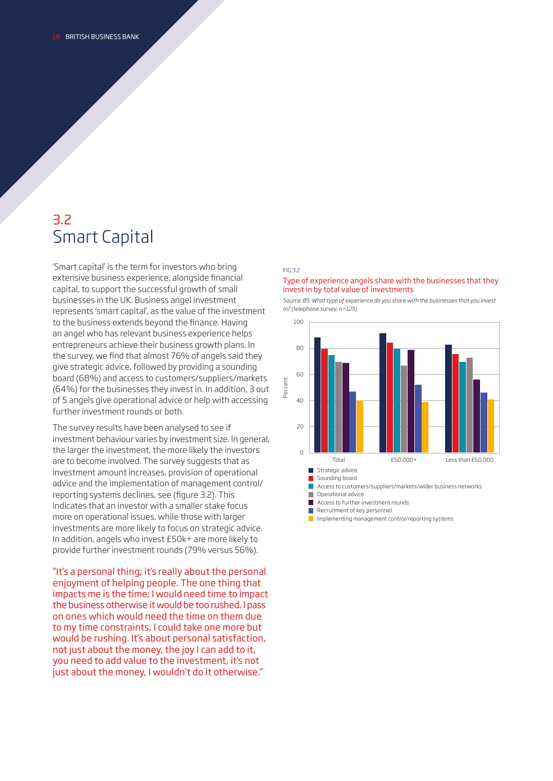### 3.2 Smart Capital

'Smart capital' is the term for investors who bring extensive business experience, alongside fnancial capital, to support the successful growth of small businesses in the UK. Business angel investment represents 'smart capital', as the value of the investment to the business extends beyond the fnance. Having an angel who has relevant business experience helps entrepreneurs achieve their business growth plans. In the survey, we fnd that almost 76% of angels said they give strategic advice, followed by providing a sounding board (68%) and access to customers/suppliers/markets (64%) for the businesses they invest in. In addition, 3 out of 5 angels give operational advice or help with accessing further investment rounds or both.

 provide further investment rounds (79% versus 56%). The survey results have been analysed to see if investment behaviour varies by investment size. In general, the larger the investment, the more likely the investors are to become involved. The survey suggests that as investment amount increases, provision of operational advice and the implementation of management control/ reporting systems declines, see (figure 3.2). This indicates that an investor with a smaller stake focus more on operational issues, while those with larger investments are more likely to focus on strategic advice. In addition, angels who invest £50k+ are more likely to

"It's a personal thing; it's really about the personal enjoyment of helping people. The one thing that impacts me is the time; I would need time to impact the business otherwise it would be too rushed. I pass on ones which would need the time on them due to my time constraints, I could take one more but would be rushing. It's about personal satisfaction, not just about the money, the joy I can add to it, you need to add value to the investment, it's not just about the money, I wouldn't do it otherwise."

### FIG 3.2

### Type of experience angels share with the businesses that they invest in by total value of investments

*Source: B5. What type of experience do you share with the businesses that you invest in? (telephone survey, n=125)* 



П

Recruitment of key personnel

 $\Box$  Implementing management control/reporting systems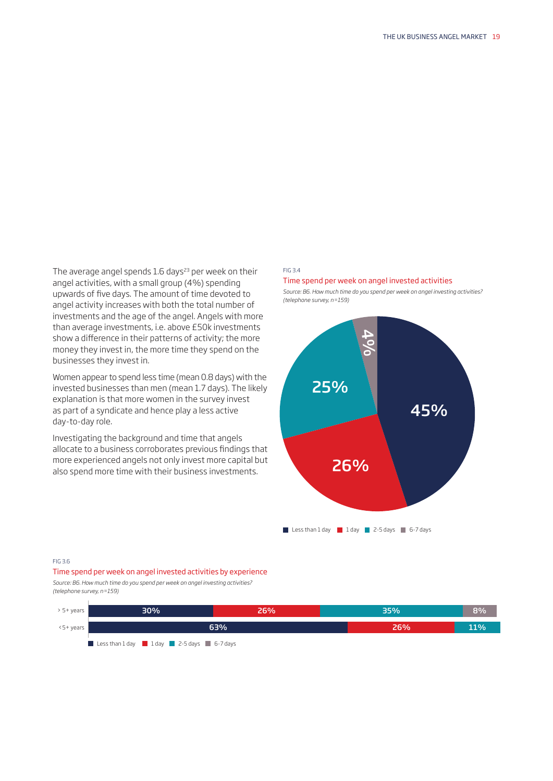The average angel spends 1.6 days<sup>23</sup> per week on their angel activities, with a small group (4%) spending upwards of fve days. The amount of time devoted to angel activity increases with both the total number of investments and the age of the angel. Angels with more than average investments, i.e. above £50k investments show a diference in their patterns of activity; the more money they invest in, the more time they spend on the businesses they invest in.

Women appear to spend less time (mean 0.8 days) with the invested businesses than men (mean 1.7 days). The likely explanation is that more women in the survey invest as part of a syndicate and hence play a less active day-to-day role.

Investigating the background and time that angels allocate to a business corroborates previous fndings that more experienced angels not only invest more capital but also spend more time with their business investments.

### FIG 3.4

### Time spend per week on angel invested activities

*Source: B6. How much time do you spend per week on angel investing activities? (telephone survey, n=159)* 



Less than  $1$  day  $1$  day  $2-5$  days  $6-7$  days

#### FIG 3.6

Time spend per week on angel invested activities by experience *Source: B6. How much time do you spend per week on angel investing activities?* 

*(telephone survey, n=159)* 

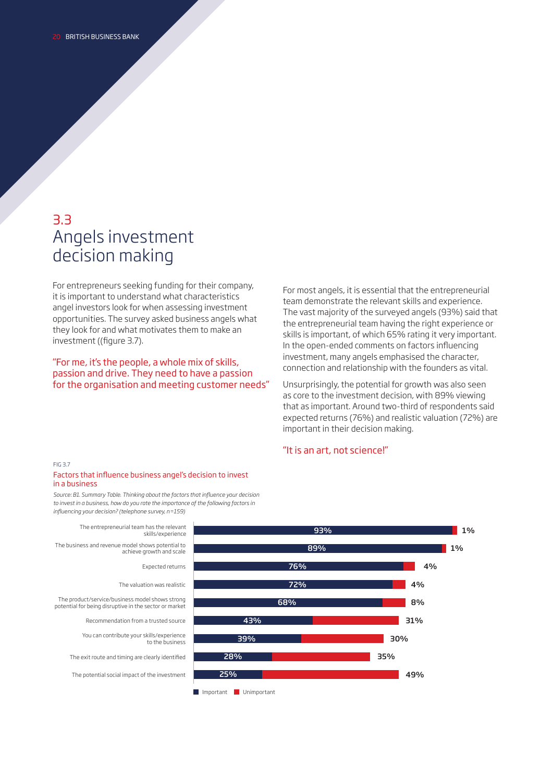### 3.3 Angels investment decision making

For entrepreneurs seeking funding for their company, it is important to understand what characteristics angel investors look for when assessing investment opportunities. The survey asked business angels what they look for and what motivates them to make an investment ((figure 3.7).

"For me, it's the people, a whole mix of skills, passion and drive. They need to have a passion for the organisation and meeting customer needs" For most angels, it is essential that the entrepreneurial team demonstrate the relevant skills and experience. The vast majority of the surveyed angels (93%) said that the entrepreneurial team having the right experience or skills is important, of which 65% rating it very important. In the open-ended comments on factors infuencing investment, many angels emphasised the character, connection and relationship with the founders as vital.

Unsurprisingly, the potential for growth was also seen as core to the investment decision, with 89% viewing that as important. Around two-third of respondents said expected returns (76%) and realistic valuation (72%) are important in their decision making.

### "It is an art, not science!"



*Source: B1. Summary Table. Thinking about the factors that infuence your decision to invest in a business, how do you rate the importance of the following factors in infuencing your decision? (telephone survey, n=159)* 

The entrepreneurial team has the relevant skills/experience The business and revenue model shows potential to achieve growth and scale Expected returns The valuation was realistic The product/service/business model shows strong potential for being disruptive in the sector or market Recommendation from a trusted source You can contribute your skills/experience to the business The exit route and timing are clearly identifed The potential social impact of the investment

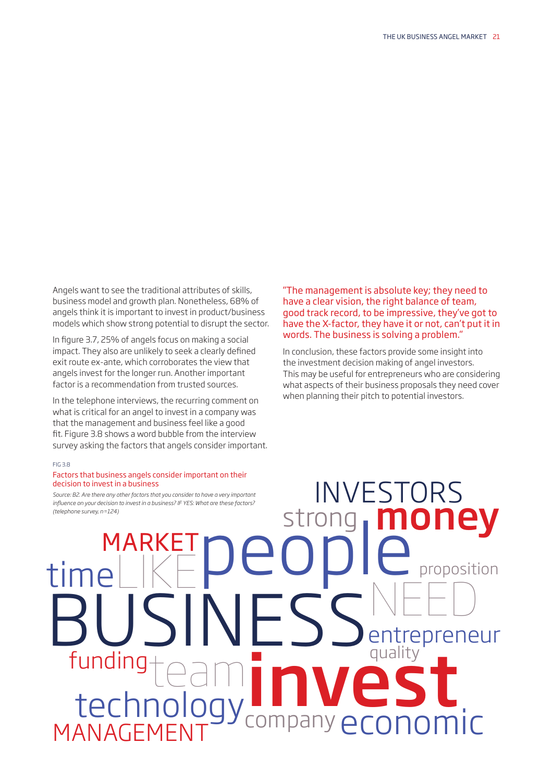Angels want to see the traditional attributes of skills, business model and growth plan. Nonetheless, 68% of angels think it is important to invest in product/business models which show strong potential to disrupt the sector.

In fgure 3.7, 25% of angels focus on making a social impact. They also are unlikely to seek a clearly defned exit route ex-ante, which corroborates the view that angels invest for the longer run. Another important factor is a recommendation from trusted sources.

In the telephone interviews, the recurring comment on what is critical for an angel to invest in a company was that the management and business feel like a good ft. Figure 3.8 shows a word bubble from the interview survey asking the factors that angels consider important.

### FIG 3.8

### Factors that business angels consider important on their decision to invest in a business

*Source: B2. Are there any other factors that you consider to have a very important infuence on your decision to invest in a business? IF YES: What are these factors? (telephone survey, n=124)* strong money MARKETpeople proposition timeLIKE

"The management is absolute key; they need to have a clear vision, the right balance of team, good track record, to be impressive, they've got to have the X-factor, they have it or not, can't put it in words. The business is solving a problem."

the investment decision making of angel investors. In conclusion, these factors provide some insight into This may be useful for entrepreneurs who are considering what aspects of their business proposals they need cover when planning their pitch to potential investors.

INVESTORS

NEED

BUSINESS<sup>NEED</sup> funding teaming the aminosity technology and an aminosity to the state of the state of the state of the state of the state of the state of the state of the state of the state of the state of the state of the state of the s LECTITIOIOUY company economic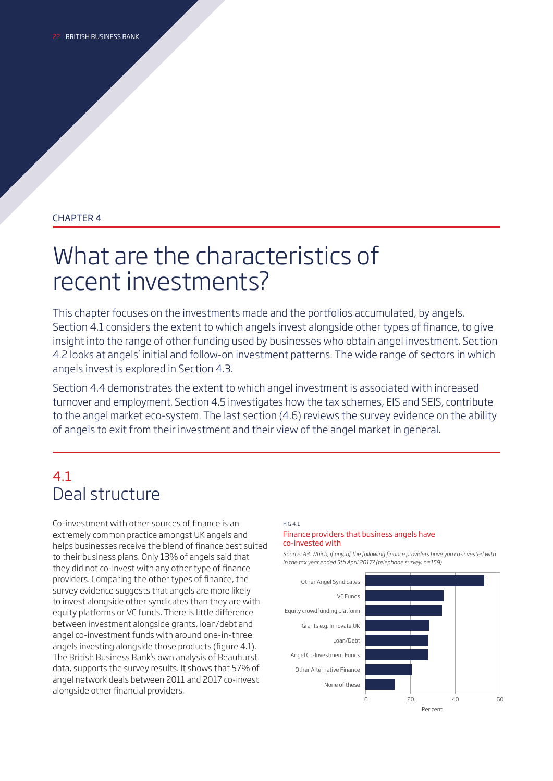### CHAPTER 4

# What are the characteristics of recent investments?

This chapter focuses on the investments made and the portfolios accumulated, by angels. Section 4.1 considers the extent to which angels invest alongside other types of fnance, to give insight into the range of other funding used by businesses who obtain angel investment. Section 4.2 looks at angels' initial and follow-on investment patterns. The wide range of sectors in which angels invest is explored in Section 4.3.

Section 4.4 demonstrates the extent to which angel investment is associated with increased turnover and employment. Section 4.5 investigates how the tax schemes, EIS and SEIS, contribute to the angel market eco-system. The last section (4.6) reviews the survey evidence on the ability of angels to exit from their investment and their view of the angel market in general.

## 4.1 Deal structure

Co-investment with other sources of fnance is an extremely common practice amongst UK angels and helps businesses receive the blend of fnance best suited to their business plans. Only 13% of angels said that they did not co-invest with any other type of fnance providers. Comparing the other types of fnance, the survey evidence suggests that angels are more likely to invest alongside other syndicates than they are with equity platforms or VC funds. There is little diference between investment alongside grants, loan/debt and angel co-investment funds with around one-in-three angels investing alongside those products (figure 4.1). The British Business Bank's own analysis of Beauhurst data, supports the survey results. It shows that 57% of angel network deals between 2011 and 2017 co-invest alongside other fnancial providers.

### FIG 4.1

### Finance providers that business angels have co-invested with

*Source: A3. Which, if any, of the following fnance providers have you co-invested with in the tax year ended 5th April 2017? (telephone survey, n=159)* 

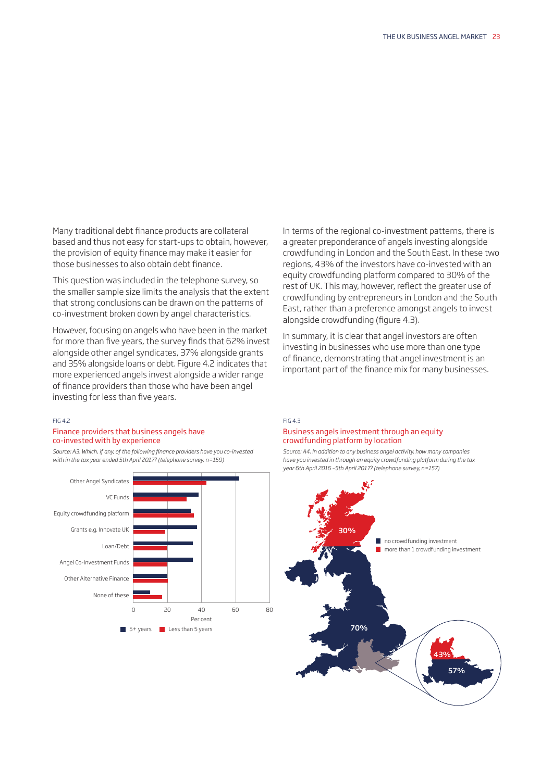Many traditional debt finance products are collateral based and thus not easy for start-ups to obtain, however, the provision of equity fnance may make it easier for those businesses to also obtain debt fnance.

This question was included in the telephone survey, so the smaller sample size limits the analysis that the extent that strong conclusions can be drawn on the patterns of co-investment broken down by angel characteristics.

However, focusing on angels who have been in the market for more than fve years, the survey fnds that 62% invest alongside other angel syndicates, 37% alongside grants and 35% alongside loans or debt. Figure 4.2 indicates that more experienced angels invest alongside a wider range of fnance providers than those who have been angel investing for less than five years.

### FIG 4.2

### Finance providers that business angels have co-invested with by experience

*Source: A3. Which, if any, of the following fnance providers have you co-invested with in the tax year ended 5th April 2017? (telephone survey, n=159)* 



In terms of the regional co-investment patterns, there is a greater preponderance of angels investing alongside crowdfunding in London and the South East. In these two regions, 43% of the investors have co-invested with an equity crowdfunding platform compared to 30% of the rest of UK. This may, however, refect the greater use of crowdfunding by entrepreneurs in London and the South East, rather than a preference amongst angels to invest alongside crowdfunding (figure 4.3).

In summary, it is clear that angel investors are often investing in businesses who use more than one type of fnance, demonstrating that angel investment is an important part of the fnance mix for many businesses.

### FIG 4.3 Business angels investment through an equity crowdfunding platform by location

*Source: A4. In addition to any business angel activity, how many companies have you invested in through an equity crowdfunding platform during the tax year 6th April 2016 –5th April 2017? (telephone survey, n=157)* 

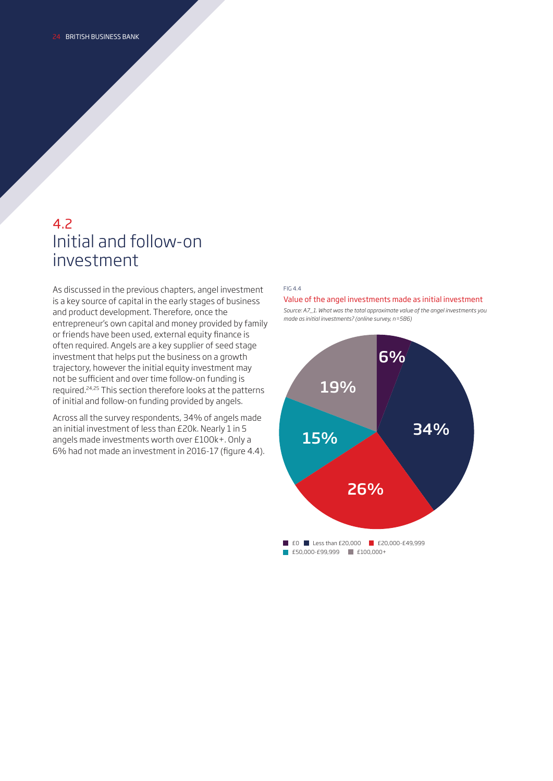### 4.2 Initial and follow-on investment

As discussed in the previous chapters, angel investment is a key source of capital in the early stages of business and product development. Therefore, once the entrepreneur's own capital and money provided by family or friends have been used, external equity fnance is often required. Angels are a key supplier of seed stage investment that helps put the business on a growth trajectory, however the initial equity investment may not be sufficient and over time follow-on funding is required.24,25 This section therefore looks at the patterns of initial and follow-on funding provided by angels.

Across all the survey respondents, 34% of angels made an initial investment of less than £20k. Nearly 1 in 5 angels made investments worth over £100k+. Only a 6% had not made an investment in 2016-17 (fgure 4.4).

### FIG 4.4

### Value of the angel investments made as initial investment



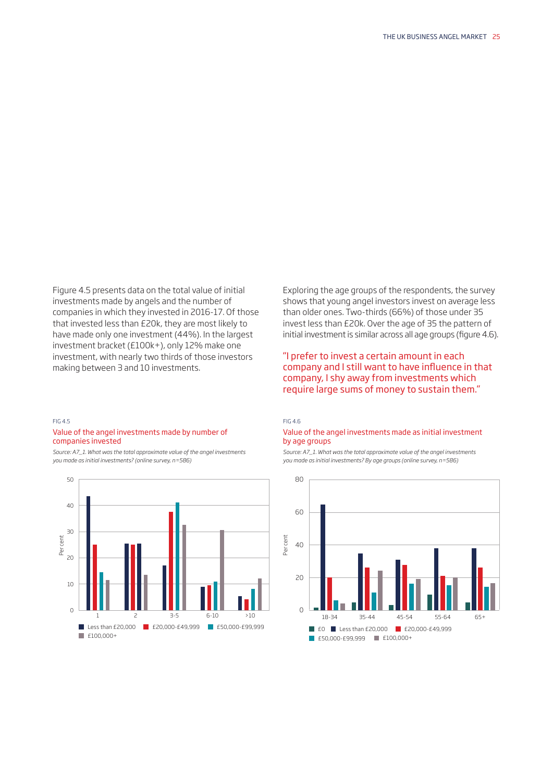Figure 4.5 presents data on the total value of initial investments made by angels and the number of companies in which they invested in 2016-17. Of those that invested less than £20k, they are most likely to have made only one investment (44%). In the largest investment bracket (£100k+), only 12% make one investment, with nearly two thirds of those investors making between 3 and 10 investments.

### FIG 4.5 Value of the angel investments made by number of companies invested

*Source: A7\_1. What was the total approximate value of the angel investments you made as initial investments? (online survey, n=586)* 



Exploring the age groups of the respondents, the survey shows that young angel investors invest on average less [than older ones. Two-thirds \(66%\) of those under 35](#page-34-0) invest less than £20k. Over the age of 35 the pattern of initial investment is similar across all age groups (figure 4.6).

### "I prefer to invest a certain amount in each company and I still want to have infuence in that company, I shy away from investments which require large sums of money to sustain them."

#### FIG 4.6

### Value of the angel investments made as initial investment by age groups

*Source: A7\_1. What was the total approximate value of the angel investments you made as initial investments? By age groups (online survey, n=586)* 

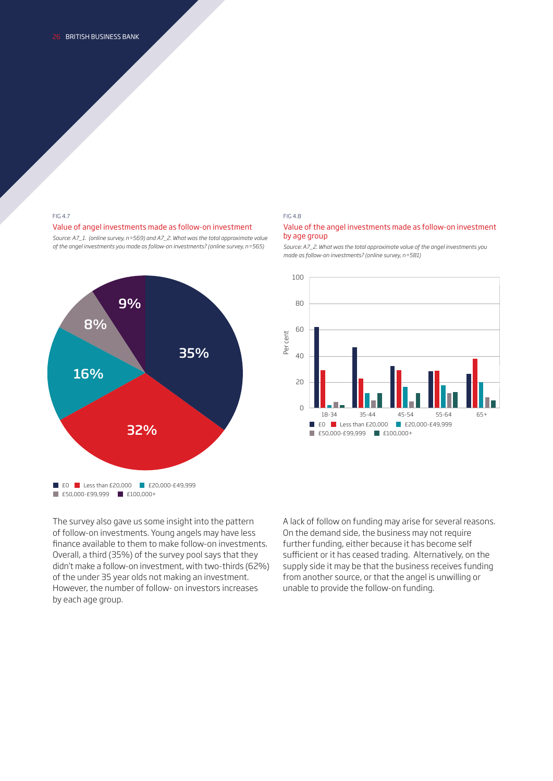### Value of angel investments made as follow-on investment Value of the angel investments made as follow-on investment

*Source: A7\_1. (online survey, n=569) and A7\_2. What was the total approximate value* by age group



#### FIG 4.7 FIG 4.8

*of the angel investments you made as follow-on investments? (online survey, n=565) Source: A7\_2. What was the total approximate value of the angel investments you made as follow-on investments? (online survey, n=581)* 



The survey also gave us some insight into the pattern of follow-on investments. Young angels may have less fnance available to them to make follow-on investments. Overall, a third (35%) of the survey pool says that they didn't make a follow-on investment, with two-thirds (62%) of the under 35 year olds not making an investment. However, the number of follow- on investors increases by each age group.

 unable to provide the follow-on funding. A lack of follow on funding may arise for several reasons. On the demand side, the business may not require further funding, either because it has become self sufficient or it has ceased trading. Alternatively, on the supply side it may be that the business receives funding from another source, or that the angel is unwilling or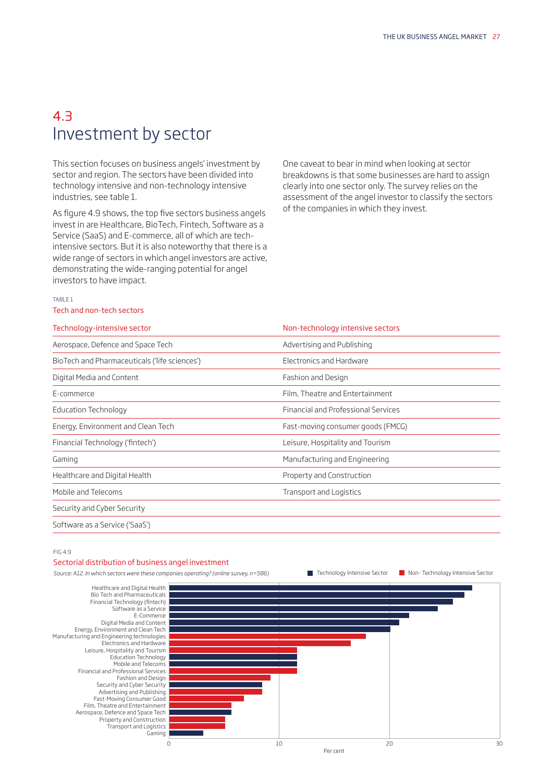### 4.3 Investment by sector

This section focuses on business angels' investment by sector and region. The sectors have been divided into technology intensive and non-technology intensive industries, see table 1.

As figure 4.9 shows, the top five sectors business angels invest in are Healthcare, BioTech, Fintech, Software as a Service (SaaS) and E-commerce, all of which are techintensive sectors. But it is also noteworthy that there is a wide range of sectors in which angel investors are active, demonstrating the wide-ranging potential for angel investors to have impact.

One caveat to bear in mind when looking at sector breakdowns is that some businesses are hard to assign clearly into one sector only. The survey relies on the assessment of the angel investor to classify the sectors of the companies in which they invest.

### TABLE 1

### Tech and non-tech sectors

| Technology-intensive sector                   | Non-technology intensive sectors    |
|-----------------------------------------------|-------------------------------------|
| Aerospace, Defence and Space Tech             | Advertising and Publishing          |
| BioTech and Pharmaceuticals ('life sciences') | Electronics and Hardware            |
| Digital Media and Content                     | Fashion and Design                  |
| E-commerce                                    | Film, Theatre and Entertainment     |
| Education Technology                          | Financial and Professional Services |
| Energy, Environment and Clean Tech            | Fast-moving consumer goods (FMCG)   |
| Financial Technology ('fintech')              | Leisure, Hospitality and Tourism    |
| Gaming                                        | Manufacturing and Engineering       |
| Healthcare and Digital Health                 | Property and Construction           |
| Mobile and Telecoms                           | Transport and Logistics             |
| Security and Cyber Security                   |                                     |
| Software as a Service ('SaaS')                |                                     |

### FIG 4.9

### Sectorial distribution of business angel investment

*Source: A12. In which sectors were these companies operating? (online survey, n=586)* 

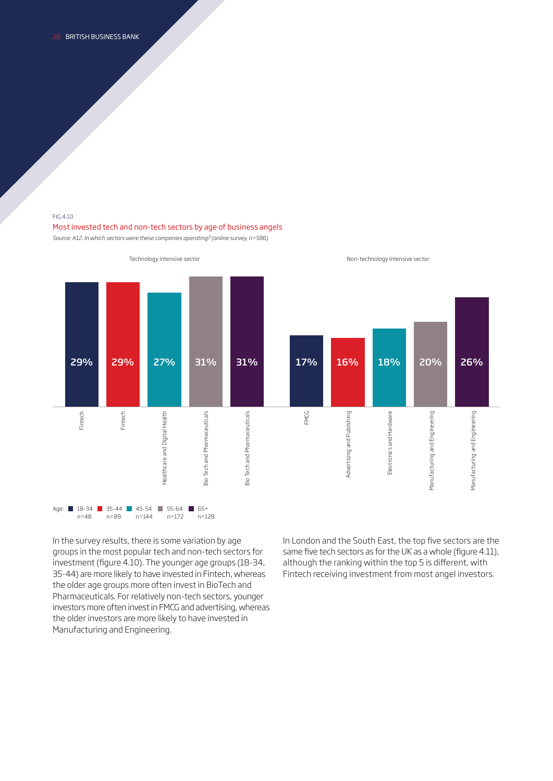### FIG 4.10

### Most invested tech and non-tech sectors by age of business angels

*Source: A12. In which sectors were these companies operating? (online survey, n=586)* 



In the survey results, there is some variation by age groups in the most popular tech and non-tech sectors for investment (fgure 4.10). The younger age groups (18-34, 35-44) are more likely to have invested in Fintech, whereas the older age groups more often invest in BioTech and Pharmaceuticals. For relatively non-tech sectors, younger investors more often invest in FMCG and advertising, whereas the older investors are more likely to have invested in Manufacturing and Engineering.

 Fintech receiving investment from most angel investors. In London and the South East, the top five sectors are the same five tech sectors as for the UK as a whole (figure 4.11), although the ranking within the top 5 is diferent, with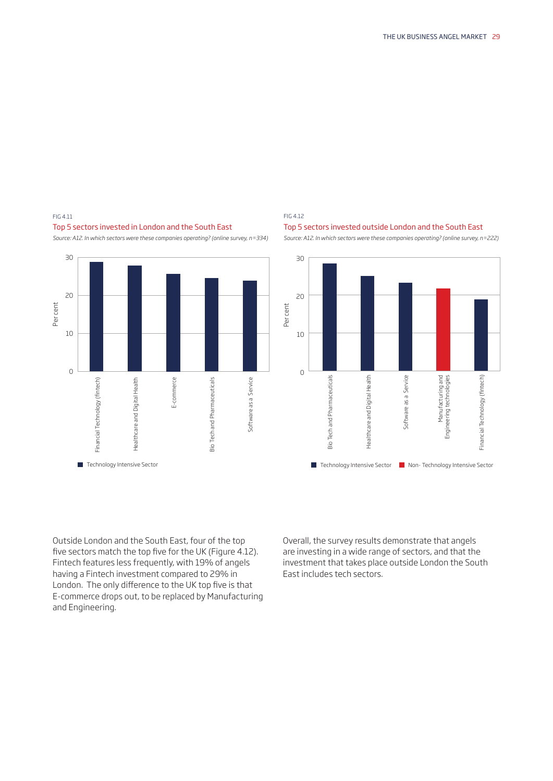

### *Source: A12. In which sectors were these companies operating? (online survey, n=334) Source: A12. In which sectors were these companies operating? (online survey, n=222)*

### FIG 4.11 FIG 4.12





Outside London and the South East, four of the top five sectors match the top five for the UK (Figure 4.12). Fintech features less frequently, with 19% of angels having a Fintech investment compared to 29% in London. The only difference to the UK top five is that E-commerce drops out, to be replaced by Manufacturing and Engineering.

Overall, the survey results demonstrate that angels are investing in a wide range of sectors, and that the investment that takes place outside London the South East includes tech sectors.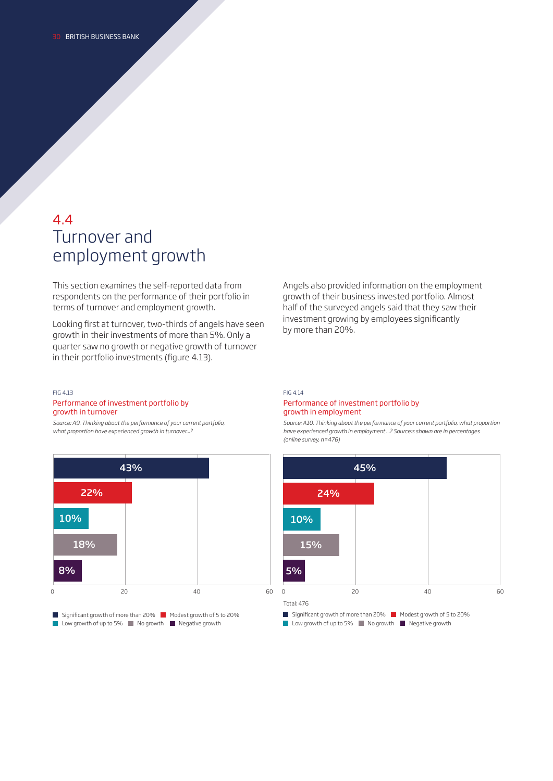### 4.4 Turnover and employment growth

This section examines the self-reported data from respondents on the performance of their portfolio in terms of turnover and employment growth.

Looking frst at turnover, two-thirds of angels have seen growth in their investments of more than 5%. Only a quarter saw no growth or negative growth of turnover in their portfolio investments (figure 4.13).

Angels also provided information on the employment growth of their business invested portfolio. Almost half of the surveyed angels said that they saw their investment growing by employees significantly by more than 20%.

### FIG 4.13

### Performance of investment portfolio by growth in turnover

*Source: A9. Thinking about the performance of your current portfolio, what proportion have experienced growth in turnover...?* 



### FIG 4.14

### Performance of investment portfolio by growth in employment

*Source: A10. Thinking about the performance of your current portfolio, what proportion have experienced growth in employment ...? Source:s shown are in percentages (online survey, n=476)* 

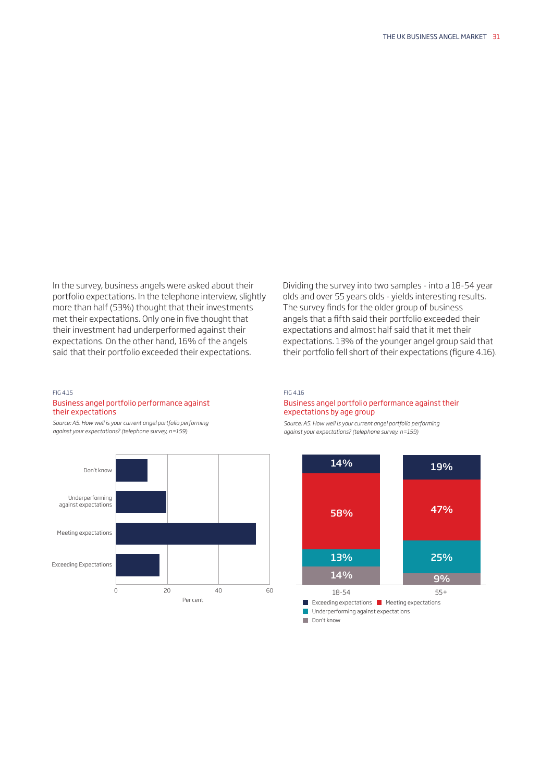In the survey, business angels were asked about their portfolio expectations. In the telephone interview, slightly more than half (53%) thought that their investments met their expectations. Only one in fve thought that their investment had underperformed against their expectations. On the other hand, 16% of the angels said that their portfolio exceeded their expectations.

Dividing the survey into two samples - into a 18-54 year olds and over 55 years olds - yields interesting results. The survey finds for the older group of business angels that a ffth said their portfolio exceeded their expectations and almost half said that it met their expectations. 13% of the younger angel group said that their portfolio fell short of their expectations (figure 4.16).

### FIG 4.15

### Business angel portfolio performance against their expectations

*Source: A5. How well is your current angel portfolio performing against your expectations? (telephone survey, n=159)* 



### FIG 4.16

### Business angel portfolio performance against their expectations by age group

*Source: A5. How well is your current angel portfolio performing against your expectations? (telephone survey, n=159)* 



Don't know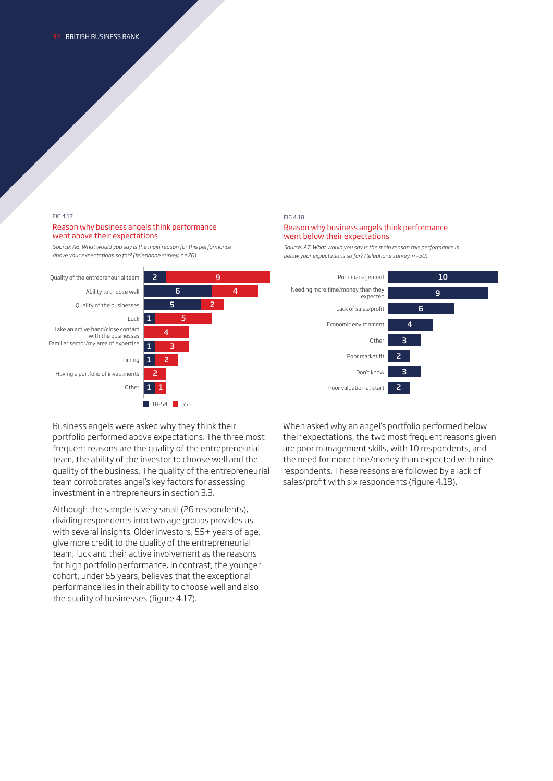### FIG 4.17

### Reason why business angels think performance went above their expectations

*Source: A6. What would you say is the main reason for this performance above your expectations so far? (telephone survey, n=26)* 



#### FIG 4.18

### Reason why business angels think performance went below their expectations

*Source: A7. What would you say is the main reason this performance is below your expectations so far? (telephone survey, n=30)* 



Business angels were asked why they think their portfolio performed above expectations. The three most frequent reasons are the quality of the entrepreneurial team, the ability of the investor to choose well and the quality of the business. The quality of the entrepreneurial team corroborates angel's key factors for assessing investment in entrepreneurs in section 3.3.

Although the sample is very small (26 respondents), dividing respondents into two age groups provides us with several insights. Older investors, 55+ years of age, give more credit to the quality of the entrepreneurial team, luck and their active involvement as the reasons for high portfolio performance. In contrast, the younger cohort, under 55 years, believes that the exceptional performance lies in their ability to choose well and also the quality of businesses (figure 4.17).

When asked why an angel's portfolio performed below their expectations, the two most frequent reasons given are poor management skills, with 10 respondents, and the need for more time/money than expected with nine respondents. These reasons are followed by a lack of sales/profit with six respondents (figure 4.18).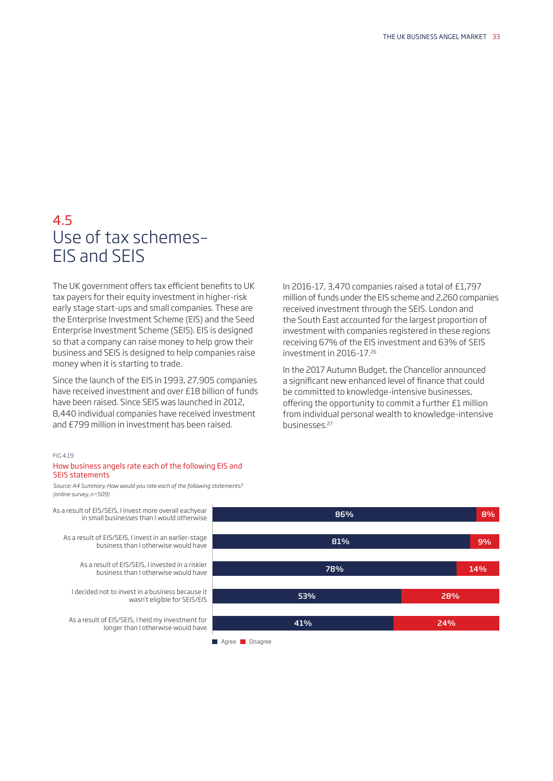### 4.5 Use of tax schemes– EIS and SEIS

The UK government offers tax efficient benefits to UK tax payers for their equity investment in higher-risk early stage start-ups and small companies. These are the Enterprise Investment Scheme (EIS) and the Seed Enterprise Investment Scheme (SEIS). EIS is designed so that a company can raise money to help grow their business and SEIS is designed to help companies raise money when it is starting to trade.

Since the launch of the EIS in 1993, 27,905 companies have received investment and over £18 billion of funds have been raised. Since SEIS was launched in 2012, 8,440 individual companies have received investment and £799 million in investment has been raised.

### FIG 4.19

### How business angels rate each of the following EIS and SEIS statements

*Source: A4 Summary. How would you rate each of the following statements? (online survey, n=509)* 

As a result of EIS/SEIS, I invest more overall eachyear in small businesses than I would otherwise As a result of EIS/SEIS, I invest in an earlier-stage business than I otherwise would have

> As a result of EIS/SEIS, I invested in a riskier business than I otherwise would have

I decided not to invest in a business because it wasn't eligible for SEIS/EIS

As a result of EIS/SEIS, I held my investment for longer than I otherwise would have In 2016-17, 3,470 companies raised a total of £1,797 million of funds under the EIS scheme and 2,260 companies received investment through the SEIS. London and the South East accounted for the largest proportion of investment with companies registered in these regions receiving 67% of the EIS investment and 63% of SEIS investment in [2016-17.26](https://2016-17.26)

In the 2017 Autumn Budget, the Chancellor announced a signifcant new enhanced level of fnance that could be committed to knowledge-intensive businesses, ofering the opportunity to commit a further £1 million from individual personal wealth to knowledge-intensive [businesses.27](https://businesses.27)



Agree Disagree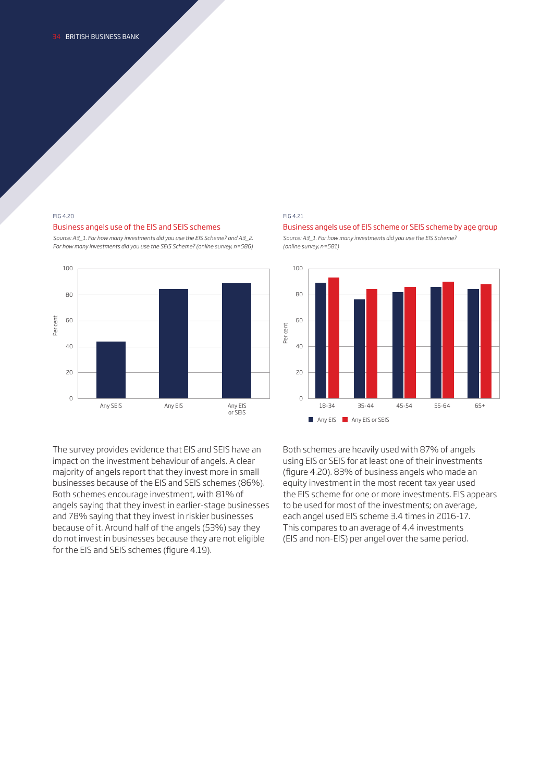### Business angels use of the EIS and SEIS schemes Business angels use of EIS scheme or SEIS scheme by age group

*For how many investments did you use the SEIS Scheme? (online survey, n=586) (online survey, n=581)* 



The survey provides evidence that EIS and SEIS have an impact on the investment behaviour of angels. A clear majority of angels report that they invest more in small businesses because of the EIS and SEIS schemes (86%). Both schemes encourage investment, with 81% of angels saying that they invest in earlier-stage businesses and 78% saying that they invest in riskier businesses because of it. Around half of the angels (53%) say they do not invest in businesses because they are not eligible for the EIS and SEIS schemes (figure 4.19).

#### FIG 4.20 FIG 4.21





Both schemes are heavily used with 87% of angels using EIS or SEIS for at least one of their investments (fgure 4.20). 83% of business angels who made an equity investment in the most recent tax year used the EIS scheme for one or more investments. EIS appears to be used for most of the investments; on average, each angel used EIS scheme 3.4 times in 2016-17. This compares to an average of 4.4 investments (EIS and non-EIS) per angel over the same period.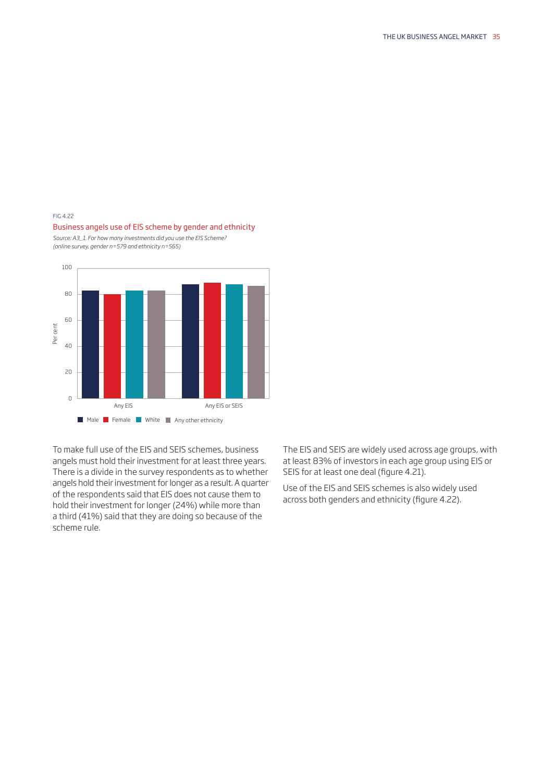### <span id="page-34-0"></span>FIG 4.22

# 100 80 60 40 20 0 scheme rule. Per cent Any EIS Any EIS or SEIS **Male Female White Any other ethnicity**

Business angels use of EIS scheme by gender and ethnicity *Source: A3\_1. For how many investments did you use the EIS Scheme?* 

*(online survey, gender n=579 and ethnicity n=565)* 

 of the respondents said that EIS does not cause them to hold their investment for longer (24%) while more than To make full use of the EIS and SEIS schemes, business angels must hold their investment for at least three years. There is a divide in the survey respondents as to whether angels hold their investment for longer as a result. A quarter a third (41%) said that they are doing so because of the

The EIS and SEIS are widely used across age groups, with at least 83% of investors in each age group using EIS or SEIS for at least one deal (figure 4.21).

Use of the EIS and SEIS schemes is also widely used across both genders and ethnicity (figure 4.22).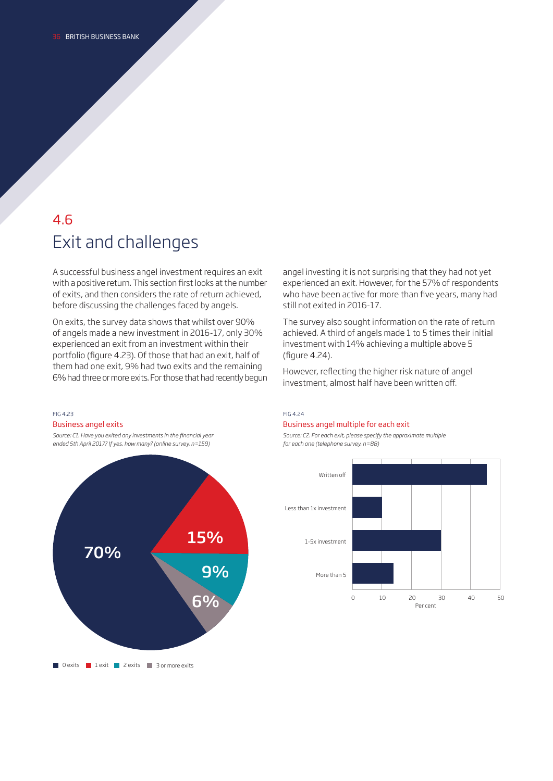## 4.6 Exit and challenges

A successful business angel investment requires an exit with a positive return. This section first looks at the number of exits, and then considers the rate of return achieved, before discussing the challenges faced by angels.

On exits, the survey data shows that whilst over 90% of angels made a new investment in 2016-17, only 30% experienced an exit from an investment within their portfolio (fgure 4.23). Of those that had an exit, half of them had one exit, 9% had two exits and the remaining 6% had three or more exits. For those that had recently begun

### FIG 4.23 Business angel exits

*Source: C1. Have you exited any investments in the fnancial year ended 5th April 2017? If yes, how many? (online survey, n=159)* 



angel investing it is not surprising that they had not yet experienced an exit. However, for the 57% of respondents who have been active for more than five years, many had still not exited in 2016-17.

The survey also sought information on the rate of return achieved. A third of angels made 1 to 5 times their initial investment with 14% achieving a multiple above 5 (figure 4.24).

However, refecting the higher risk nature of angel investment, almost half have been written off.

### FIG 4.24 Business angel multiple for each exit

*Source: C2. For each exit, please specify the approximate multiple for each one (telephone survey, n=88)* 

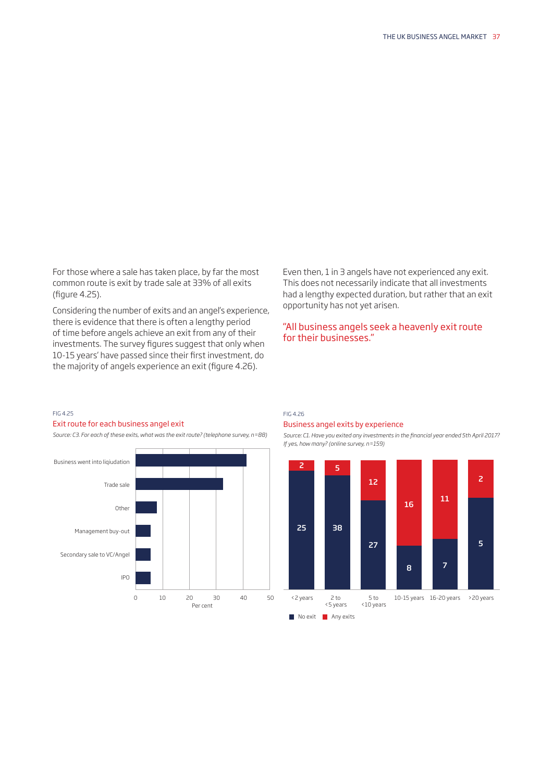For those where a sale has taken place, by far the most common route is exit by trade sale at 33% of all exits (figure 4.25).

Considering the number of exits and an angel's experience, there is evidence that there is often a lengthy period of time before angels achieve an exit from any of their investments. The survey figures suggest that only when 10-15 years' have passed since their frst investment, do the majority of angels experience an exit (figure 4.26).

Even then, 1 in 3 angels have not experienced any exit. This does not necessarily indicate that all investments had a lengthy expected duration, but rather that an exit opportunity has not yet arisen.

### "All business angels seek a heavenly exit route for their businesses."

### FIG 4.25

### Exit route for each business angel exit

*Source: C3. For each of these exits, what was the exit route? (telephone survey, n=88)* 



### FIG 4.26 Business angel exits by experience

*Source: C1. Have you exited any investments in the fnancial year ended 5th April 2017? If yes, how many? (online survey, n=159)* 

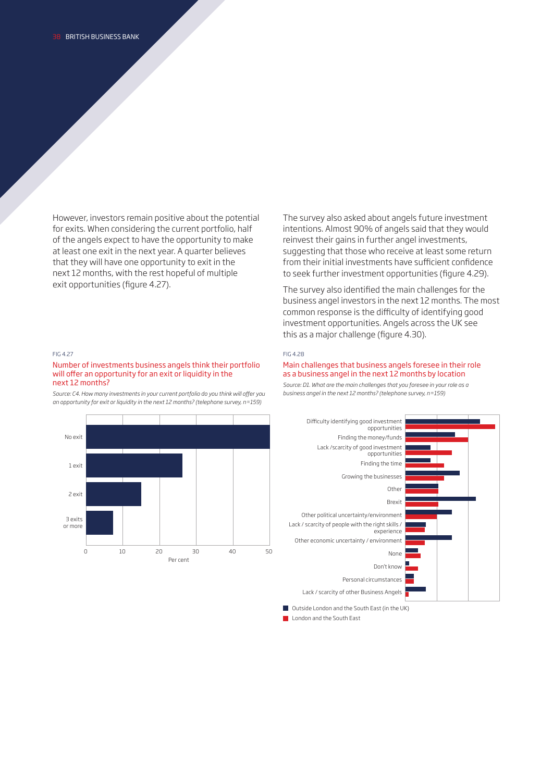However, investors remain positive about the potential for exits. When considering the current portfolio, half of the angels expect to have the opportunity to make at least one exit in the next year. A quarter believes that they will have one opportunity to exit in the next 12 months, with the rest hopeful of multiple exit opportunities (figure 4.27).

The survey also asked about angels future investment intentions. Almost 90% of angels said that they would reinvest their gains in further angel investments, suggesting that those who receive at least some return from their initial investments have sufficient confidence to seek further investment opportunities (figure 4.29).

The survey also identifed the main challenges for the business angel investors in the next 12 months. The most common response is the difficulty of identifying good investment opportunities. Angels across the UK see this as a major challenge (figure 4.30).

#### FIG 4.27

### Number of investments business angels think their portfolio will offer an opportunity for an exit or liquidity in the next 12 months?

*Source: C4. How many investments in your current portfolio do you think will ofer you an opportunity for exit or liquidity in the next 12 months? (telephone survey, n=159)* 



as a business angel in the next 12 months by location *Source: D1. What are the main challenges that you foresee in your role as a business angel in the next 12 months? (telephone survey, n=159)* 

Main challenges that business angels foresee in their role



**London and the South East** 

FIG 4.28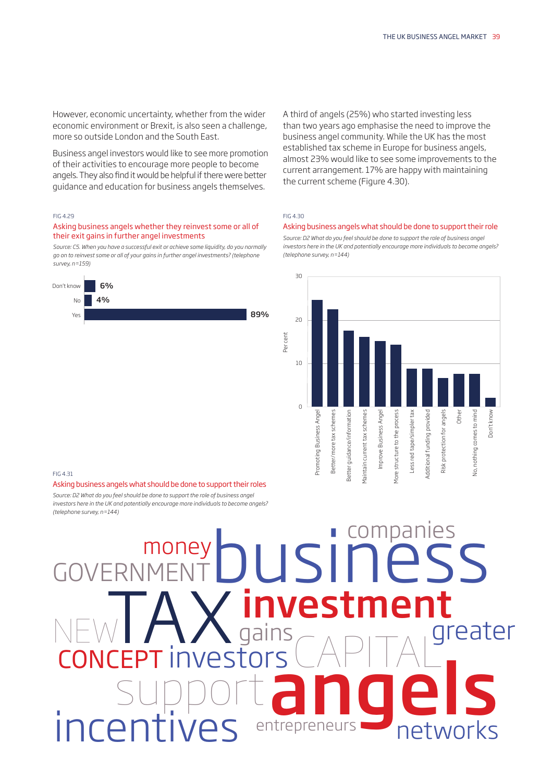However, economic uncertainty, whether from the wider economic environment or Brexit, is also seen a challenge, more so outside London and the South East.

Business angel investors would like to see more promotion of their activities to encourage more people to become angels. They also find it would be helpful if there were better guidance and education for business angels themselves.

### FIG 4.29

### Asking business angels whether they reinvest some or all of their exit gains in further angel investments

*Source: C5. When you have a successful exit or achieve some liquidity, do you normally go on to reinvest some or all of your gains in further angel investments? (telephone survey, n=159)* 



A third of angels (25%) who started investing less than two years ago emphasise the need to improve the business angel community. While the UK has the most established tax scheme in Europe for business angels, almost 23% would like to see some improvements to the current arrangement. 17% are happy with maintaining the current scheme (Figure 4.30).

### FIG 4.30

### Asking business angels what should be done to support their role

*Source: D2 What do you feel should be done to support the role of business angel investors here in the UK and potentially encourage more individuals to become angels? (telephone survey, n=144)* 



### FIG 4.31

### Asking business angels what should be done to support their roles

Source: D2 What do you feel should be done to support the role of business angel *investors here in the UK and potentially encourage more individuals to become angels? (telephone survey, n=144)* 

# $\bigcap_{M\in N}\bigcap_{\tau}$   $\bigcap_{\tau}$   $\bigcap_{\tau}$   $\bigcap_{\tau}$   $\bigcap_{\tau}$   $\bigcap_{\tau}$ JSIN investment NEWTAX investment CONCEPT investors CAPITAL support entrepreneurs angels support angels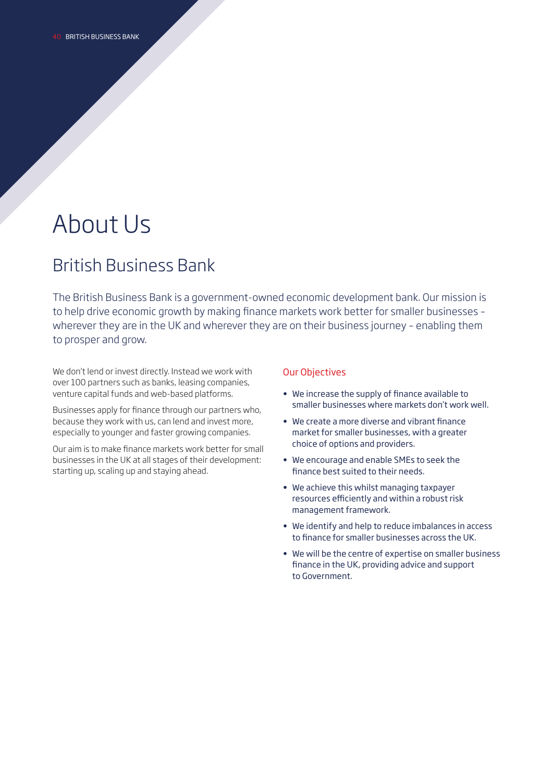# About Us

## British Business Bank

The British Business Bank is a government-owned economic development bank. Our mission is to help drive economic growth by making fnance markets work better for smaller businesses – wherever they are in the UK and wherever they are on their business journey – enabling them to prosper and grow.

We don't lend or invest directly. Instead we work with over 100 partners such as banks, leasing companies, venture capital funds and web-based platforms.

Businesses apply for fnance through our partners who, because they work with us, can lend and invest more, especially to younger and faster growing companies.

Our aim is to make fnance markets work better for small businesses in the UK at all stages of their development: starting up, scaling up and staying ahead.

### Our Objectives

- We increase the supply of fnance available to smaller businesses where markets don't work well.
- We create a more diverse and vibrant fnance market for smaller businesses, with a greater choice of options and providers.
- We encourage and enable SMEs to seek the fnance best suited to their needs.
- We achieve this whilst managing taxpayer resources efficiently and within a robust risk management framework.
- We identify and help to reduce imbalances in access to fnance for smaller businesses across the UK.
- We will be the centre of expertise on smaller business fnance in the UK, providing advice and support to Government.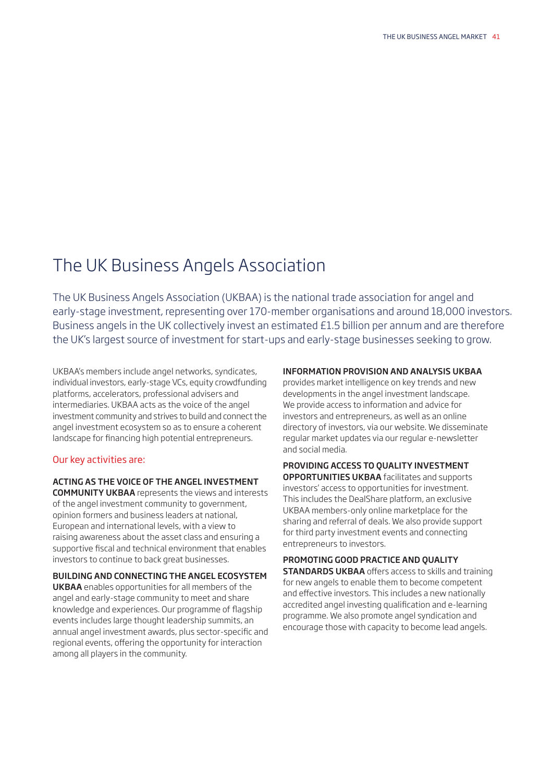## The UK Business Angels Association

The UK Business Angels Association (UKBAA) is the national trade association for angel and early-stage investment, representing over 170-member organisations and around 18,000 investors. Business angels in the UK collectively invest an estimated £1.5 billion per annum and are therefore the UK's largest source of investment for start-ups and early-stage businesses seeking to grow.

UKBAA's members include angel networks, syndicates, individual investors, early-stage VCs, equity crowdfunding platforms, accelerators, professional advisers and intermediaries. UKBAA acts as the voice of the angel investment community and strives to build and connect the angel investment ecosystem so as to ensure a coherent landscape for fnancing high potential entrepreneurs.

### Our key activities are:

### ACTING AS THE VOICE OF THE ANGEL INVESTMENT

COMMUNITY UKBAA represents the views and interests of the angel investment community to government, opinion formers and business leaders at national, European and international levels, with a view to raising awareness about the asset class and ensuring a supportive fiscal and technical environment that enables investors to continue to back great businesses.

### BUILDING AND CONNECTING THE ANGEL ECOSYSTEM

UKBAA enables opportunities for all members of the angel and early-stage community to meet and share knowledge and experiences. Our programme of fagship events includes large thought leadership summits, an annual angel investment awards, plus sector-specifc and regional events, offering the opportunity for interaction among all players in the community.

### INFORMATION PROVISION AND ANALYSIS UKBAA

provides market intelligence on key trends and new developments in the angel investment landscape. We provide access to information and advice for investors and entrepreneurs, as well as an online directory of investors, via our website. We disseminate regular market updates via our regular e-newsletter and social media.

### PROVIDING ACCESS TO QUALITY INVESTMENT

OPPORTUNITIES UKBAA facilitates and supports investors' access to opportunities for investment. This includes the DealShare platform, an exclusive UKBAA members-only online marketplace for the sharing and referral of deals. We also provide support for third party investment events and connecting entrepreneurs to investors.

### PROMOTING GOOD PRACTICE AND QUALITY

**STANDARDS UKBAA** offers access to skills and training for new angels to enable them to become competent and efective investors. This includes a new nationally accredited angel investing qualifcation and e-learning programme. We also promote angel syndication and encourage those with capacity to become lead angels.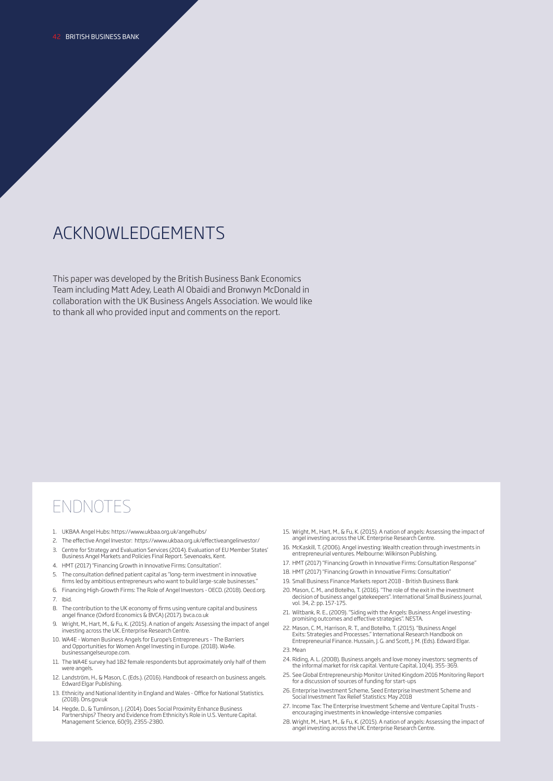## ACKNOWLEDGEMENTS

This paper was developed by the British Business Bank Economics Team including Matt Adey, Leath Al Obaidi and Bronwyn McDonald in collaboration with the UK Business Angels Association. We would like to thank all who provided input and comments on the report.

## ENDNOTES

- 1. UKBAA Angel Hubs:<https://www.ukbaa.org.uk/angelhubs>/
- 2. The efective Angel Investor: [https://www.ukbaa.org.uk/efectiveangelinvestor](https://www.ukbaa.org.uk/effectiveangelinvestor)/
- 3. Centre for Strategy and Evaluation Services (2014). Evaluation of EU Member States' Business Angel Markets and Policies Final Report. Sevenoaks, Kent. 4. HMT (2017) "Financing Growth in Innovative Firms: Consultation".
- 5. The consultation defned patient capital as "long-term investment in innovative frms led by ambitious entrepreneurs who want to build large-scale businesses."
- 6. Financing High-Growth Firms: The Role of Angel Investors OECD. (2018). [Oecd.org](https://Oecd.org). 7. Ibid.
- 
- 8. The contribution to the UK economy of frms using venture capital and business angel fnance (Oxford Economics & BVCA) (2017). [bvca.co.uk](https://bvca.co.uk)
- 9. Wright, M., Hart, M., & Fu, K. (2015). A nation of angels: Assessing the impact of angel investing across the UK. Enterprise Research Centre.
- 10. WA4E Women Business Angels for Europe's Entrepreneurs The Barriers and Opportunities for Women Angel Investing in Europe. (2018). Wa4e. [businessangelseurope.com](https://businessangelseurope.com).
- 11. The WA4E survey had 182 female respondents but approximately only half of them were angels.
- 12. Landström, H., & Mason, C. (Eds.). (2016). Handbook of research on business angels. Edward Elgar Publishing.
- 13. Ethnicity and National Identity in England and Wales Office for National Statistics. (2018). Ons.gov.uk
- 14. Hegde, D., & Tumlinson, J. (2014). Does Social Proximity Enhance Business Partnerships? Theory and Evidence from Ethnicity's Role in U.S. Venture Capital. Management Science, 60(9), 2355-2380.
- 15. Wright, M., Hart, M., & Fu, K. (2015). A nation of angels: Assessing the impact of angel investing across the UK. Enterprise Research Centre.
- 16. McKaskill, T. (2006). Angel investing: Wealth creation through investments in entrepreneurial ventures. Melbourne: Wilkinson Publishing.
- 17. HMT (2017) "Financing Growth in Innovative Firms: Consultation Response"
- 18. HMT (2017) "Financing Growth in Innovative Firms: Consultation"
- 19. Small Business Finance Markets report 2018 British Business Bank
- 20. Mason, C. M., and Botelho, T. (2016). "The role of the exit in the investment decision of business angel gatekeepers". International Small Business Journal, vol. 34, 2: pp. 157-175.
- 21. Wiltbank, R. E., (2009). "Siding with the Angels: Business Angel investing-promising outcomes and efective strategies". NESTA.
- 22. Mason, C. M., Harrison, R. T., and Botelho, T. (2015). "Business Angel Exits: Strategies and Processes." International Research Handbook on Entrepreneurial Finance. Hussain, J. G. and Scott, J. M. (Eds). Edward Elgar. 23. Mean
- 24. Riding, A. L. (2008). Business angels and love money investors: segments of the informal market for risk capital. Venture Capital, 10(4), 355-369.
- 25. See Global Entrepreneurship Monitor United Kingdom 2016 Monitoring Report for a discussion of sources of funding for start-ups
- 26. Enterprise Investment Scheme, Seed Enterprise Investment Scheme and Social Investment Tax Relief Statistics: May 2018
- 27. Income Tax: The Enterprise Investment Scheme and Venture Capital Trusts encouraging investments in knowledge-intensive companies
- 28. Wright, M., Hart, M., & Fu, K. (2015). A nation of angels: Assessing the impact of angel investing across the UK. Enterprise Research Centre.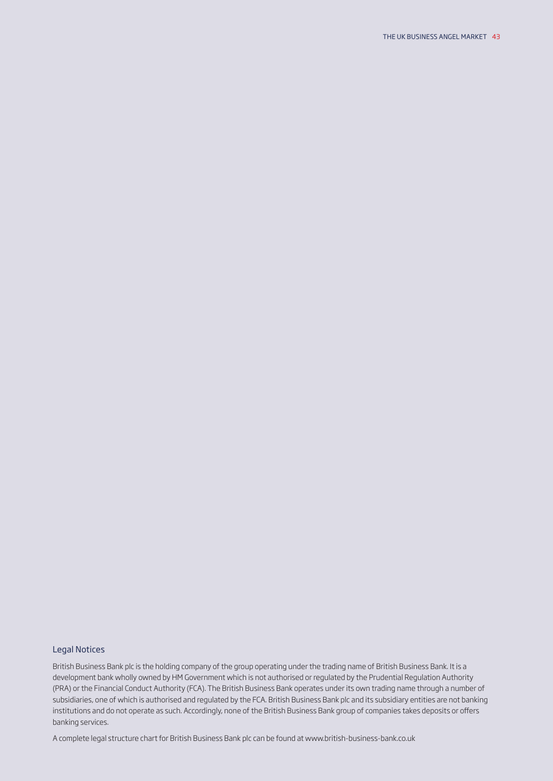### Legal Notices

British Business Bank plc is the holding company of the group operating under the trading name of British Business Bank. It is a development bank wholly owned by HM Government which is not authorised or regulated by the Prudential Regulation Authority (PRA) or the Financial Conduct Authority (FCA). The British Business Bank operates under its own trading name through a number of subsidiaries, one of which is authorised and regulated by the FCA. British Business Bank plc and its subsidiary entities are not banking institutions and do not operate as such. Accordingly, none of the British Business Bank group of companies takes deposits or ofers banking services.

A complete legal structure chart for British Business Bank plc can be found at <www.british-business-bank.co.uk>